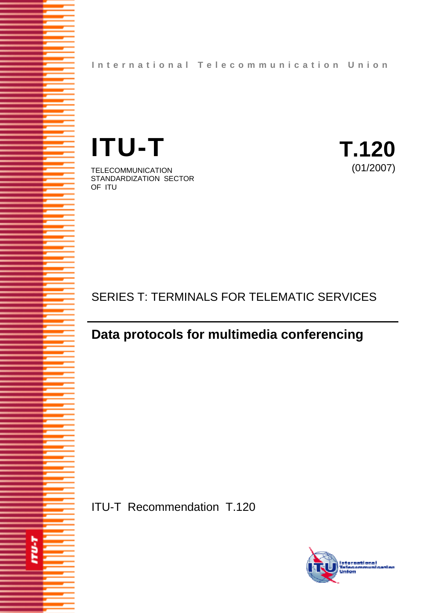

TELECOMMUNICATION STANDARDIZATION SECTOR OF ITU



# SERIES T: TERMINALS FOR TELEMATIC SERVICES

# **Data protocols for multimedia conferencing**

ITU-T Recommendation T.120

**TU-T** 

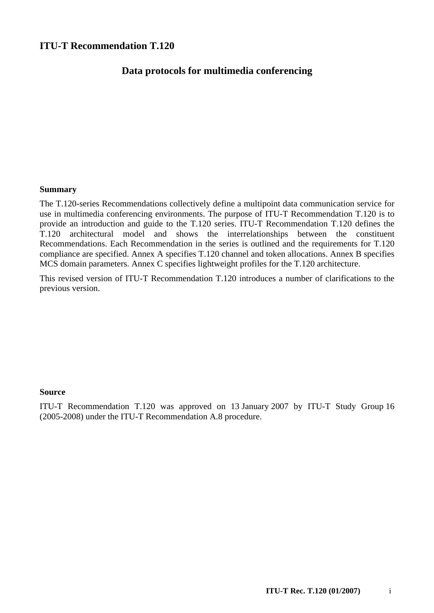### **ITU-T Recommendation T.120**

### **Data protocols for multimedia conferencing**

#### **Summary**

The T.120-series Recommendations collectively define a multipoint data communication service for use in multimedia conferencing environments. The purpose of ITU-T Recommendation T.120 is to provide an introduction and guide to the T.120 series. ITU-T Recommendation T.120 defines the T.120 architectural model and shows the interrelationships between the constituent Recommendations. Each Recommendation in the series is outlined and the requirements for T.120 compliance are specified. Annex A specifies T.120 channel and token allocations. Annex B specifies MCS domain parameters. Annex C specifies lightweight profiles for the T.120 architecture.

This revised version of ITU-T Recommendation T.120 introduces a number of clarifications to the previous version.

#### **Source**

ITU-T Recommendation T.120 was approved on 13 January 2007 by ITU-T Study Group 16 (2005-2008) under the ITU-T Recommendation A.8 procedure.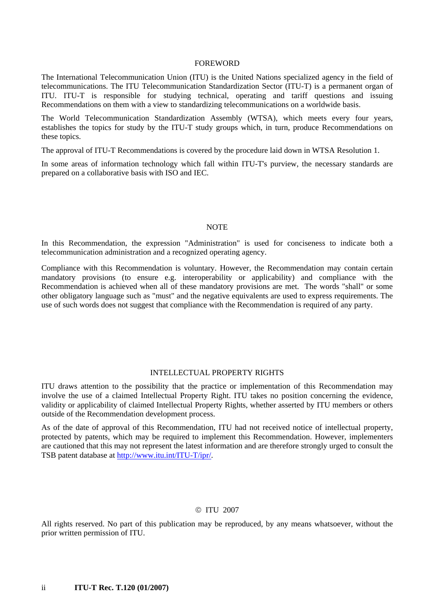#### FOREWORD

The International Telecommunication Union (ITU) is the United Nations specialized agency in the field of telecommunications. The ITU Telecommunication Standardization Sector (ITU-T) is a permanent organ of ITU. ITU-T is responsible for studying technical, operating and tariff questions and issuing Recommendations on them with a view to standardizing telecommunications on a worldwide basis.

The World Telecommunication Standardization Assembly (WTSA), which meets every four years, establishes the topics for study by the ITU-T study groups which, in turn, produce Recommendations on these topics.

The approval of ITU-T Recommendations is covered by the procedure laid down in WTSA Resolution 1.

In some areas of information technology which fall within ITU-T's purview, the necessary standards are prepared on a collaborative basis with ISO and IEC.

#### **NOTE**

In this Recommendation, the expression "Administration" is used for conciseness to indicate both a telecommunication administration and a recognized operating agency.

Compliance with this Recommendation is voluntary. However, the Recommendation may contain certain mandatory provisions (to ensure e.g. interoperability or applicability) and compliance with the Recommendation is achieved when all of these mandatory provisions are met. The words "shall" or some other obligatory language such as "must" and the negative equivalents are used to express requirements. The use of such words does not suggest that compliance with the Recommendation is required of any party.

#### INTELLECTUAL PROPERTY RIGHTS

ITU draws attention to the possibility that the practice or implementation of this Recommendation may involve the use of a claimed Intellectual Property Right. ITU takes no position concerning the evidence, validity or applicability of claimed Intellectual Property Rights, whether asserted by ITU members or others outside of the Recommendation development process.

As of the date of approval of this Recommendation, ITU had not received notice of intellectual property, protected by patents, which may be required to implement this Recommendation. However, implementers are cautioned that this may not represent the latest information and are therefore strongly urged to consult the TSB patent database at [http://www.itu.int/ITU-T/ipr/.](http://www.itu.int/ITU-T/ipr/)

#### © ITU 2007

All rights reserved. No part of this publication may be reproduced, by any means whatsoever, without the prior written permission of ITU.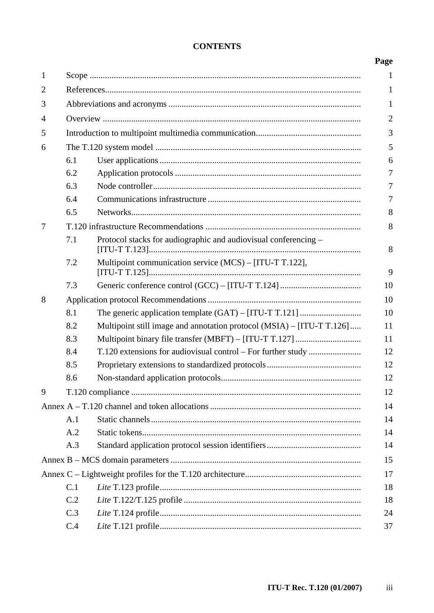# **CONTENTS**

### Page

| 1              |     |                                                                       | $\mathbf{1}$ |  |
|----------------|-----|-----------------------------------------------------------------------|--------------|--|
| $\overline{2}$ |     |                                                                       |              |  |
| 3              |     |                                                                       |              |  |
| 4              |     |                                                                       |              |  |
| 5              |     |                                                                       |              |  |
| 6              |     |                                                                       | 5            |  |
|                | 6.1 |                                                                       | 6            |  |
|                | 6.2 |                                                                       | 7            |  |
|                | 6.3 |                                                                       | 7            |  |
|                | 6.4 |                                                                       | 7            |  |
|                | 6.5 |                                                                       | 8            |  |
| 7              |     |                                                                       | 8            |  |
|                | 7.1 | Protocol stacks for audiographic and audiovisual conferencing –       | 8            |  |
|                | 7.2 | Multipoint communication service (MCS) - [ITU-T T.122],               | 9            |  |
|                | 7.3 |                                                                       | 10           |  |
| 8              |     | 10                                                                    |              |  |
|                | 8.1 |                                                                       | 10           |  |
|                | 8.2 | Multipoint still image and annotation protocol (MSIA) – [ITU-T T.126] | 11           |  |
|                | 8.3 |                                                                       | 11           |  |
|                | 8.4 |                                                                       | 12           |  |
|                | 8.5 |                                                                       | 12           |  |
|                | 8.6 |                                                                       | 12           |  |
| 9              |     |                                                                       | 12           |  |
|                |     |                                                                       | 14           |  |
|                | A.1 |                                                                       | 14           |  |
|                | A.2 |                                                                       | 14           |  |
|                | A.3 |                                                                       | 14           |  |
|                |     |                                                                       | 15           |  |
|                |     |                                                                       | 17           |  |
|                | C.1 |                                                                       | 18           |  |
|                | C.2 |                                                                       | 18           |  |
|                | C.3 |                                                                       | 24           |  |
|                | C.4 |                                                                       | 37           |  |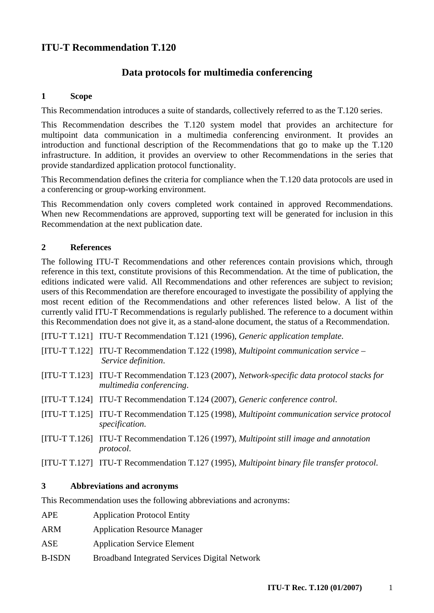### **ITU-T Recommendation T.120**

### **Data protocols for multimedia conferencing**

#### **1 Scope**

This Recommendation introduces a suite of standards, collectively referred to as the T.120 series.

This Recommendation describes the T.120 system model that provides an architecture for multipoint data communication in a multimedia conferencing environment. It provides an introduction and functional description of the Recommendations that go to make up the T.120 infrastructure. In addition, it provides an overview to other Recommendations in the series that provide standardized application protocol functionality.

This Recommendation defines the criteria for compliance when the T.120 data protocols are used in a conferencing or group-working environment.

This Recommendation only covers completed work contained in approved Recommendations. When new Recommendations are approved, supporting text will be generated for inclusion in this Recommendation at the next publication date.

#### **2 References**

The following ITU-T Recommendations and other references contain provisions which, through reference in this text, constitute provisions of this Recommendation. At the time of publication, the editions indicated were valid. All Recommendations and other references are subject to revision; users of this Recommendation are therefore encouraged to investigate the possibility of applying the most recent edition of the Recommendations and other references listed below. A list of the currently valid ITU-T Recommendations is regularly published. The reference to a document within this Recommendation does not give it, as a stand-alone document, the status of a Recommendation.

- [ITU-T T.121] ITU-T Recommendation T.121 (1996), *Generic application template*.
- [ITU-T T.122] ITU-T Recommendation T.122 (1998), *Multipoint communication service – Service definition*.
- [ITU-T T.123] ITU-T Recommendation T.123 (2007), *Network-specific data protocol stacks for multimedia conferencing*.
- [ITU-T T.124] ITU-T Recommendation T.124 (2007), *Generic conference control*.
- [ITU-T T.125] ITU-T Recommendation T.125 (1998), *Multipoint communication service protocol specification*.
- [ITU-T T.126] ITU-T Recommendation T.126 (1997), *Multipoint still image and annotation protocol*.
- [ITU-T T.127] ITU-T Recommendation T.127 (1995), *Multipoint binary file transfer protocol*.

#### **3 Abbreviations and acronyms**

This Recommendation uses the following abbreviations and acronyms:

- APE Application Protocol Entity
- ARM Application Resource Manager
- ASE Application Service Element
- B-ISDN Broadband Integrated Services Digital Network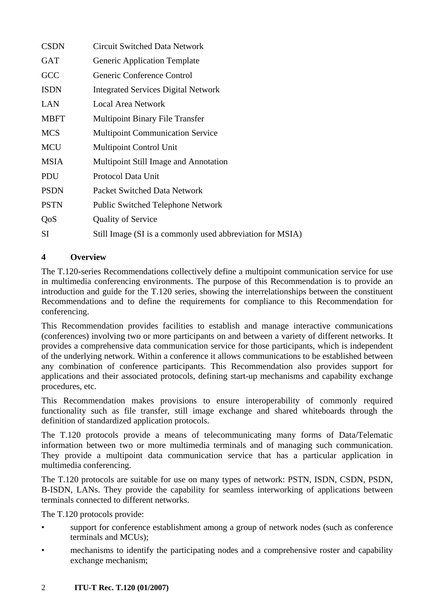| <b>CSDN</b> | <b>Circuit Switched Data Network</b>                      |
|-------------|-----------------------------------------------------------|
| <b>GAT</b>  | <b>Generic Application Template</b>                       |
| <b>GCC</b>  | Generic Conference Control                                |
| <b>ISDN</b> | <b>Integrated Services Digital Network</b>                |
| LAN         | <b>Local Area Network</b>                                 |
| <b>MBFT</b> | <b>Multipoint Binary File Transfer</b>                    |
| <b>MCS</b>  | <b>Multipoint Communication Service</b>                   |
| <b>MCU</b>  | <b>Multipoint Control Unit</b>                            |
| <b>MSIA</b> | <b>Multipoint Still Image and Annotation</b>              |
| <b>PDU</b>  | Protocol Data Unit                                        |
| <b>PSDN</b> | Packet Switched Data Network                              |
| <b>PSTN</b> | <b>Public Switched Telephone Network</b>                  |
| QoS         | <b>Quality of Service</b>                                 |
| <b>SI</b>   | Still Image (SI is a commonly used abbreviation for MSIA) |

### **4 Overview**

The T.120-series Recommendations collectively define a multipoint communication service for use in multimedia conferencing environments. The purpose of this Recommendation is to provide an introduction and guide for the T.120 series, showing the interrelationships between the constituent Recommendations and to define the requirements for compliance to this Recommendation for conferencing.

This Recommendation provides facilities to establish and manage interactive communications (conferences) involving two or more participants on and between a variety of different networks. It provides a comprehensive data communication service for those participants, which is independent of the underlying network. Within a conference it allows communications to be established between any combination of conference participants. This Recommendation also provides support for applications and their associated protocols, defining start-up mechanisms and capability exchange procedures, etc.

This Recommendation makes provisions to ensure interoperability of commonly required functionality such as file transfer, still image exchange and shared whiteboards through the definition of standardized application protocols.

The T.120 protocols provide a means of telecommunicating many forms of Data/Telematic information between two or more multimedia terminals and of managing such communication. They provide a multipoint data communication service that has a particular application in multimedia conferencing.

The T.120 protocols are suitable for use on many types of network: PSTN, ISDN, CSDN, PSDN, B-ISDN, LANs. They provide the capability for seamless interworking of applications between terminals connected to different networks.

The T.120 protocols provide:

- support for conference establishment among a group of network nodes (such as conference terminals and MCUs);
- mechanisms to identify the participating nodes and a comprehensive roster and capability exchange mechanism;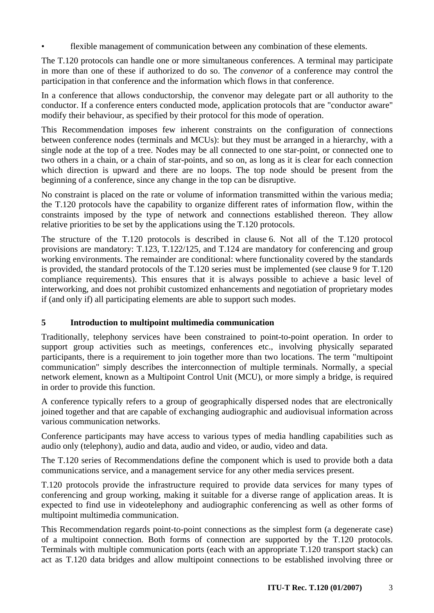• flexible management of communication between any combination of these elements.

The T.120 protocols can handle one or more simultaneous conferences. A terminal may participate in more than one of these if authorized to do so. The *convenor* of a conference may control the participation in that conference and the information which flows in that conference.

In a conference that allows conductorship, the convenor may delegate part or all authority to the conductor. If a conference enters conducted mode, application protocols that are "conductor aware" modify their behaviour, as specified by their protocol for this mode of operation.

This Recommendation imposes few inherent constraints on the configuration of connections between conference nodes (terminals and MCUs): but they must be arranged in a hierarchy, with a single node at the top of a tree. Nodes may be all connected to one star-point, or connected one to two others in a chain, or a chain of star-points, and so on, as long as it is clear for each connection which direction is upward and there are no loops. The top node should be present from the beginning of a conference, since any change in the top can be disruptive.

No constraint is placed on the rate or volume of information transmitted within the various media; the T.120 protocols have the capability to organize different rates of information flow, within the constraints imposed by the type of network and connections established thereon. They allow relative priorities to be set by the applications using the T.120 protocols.

The structure of the T.120 protocols is described in clause 6. Not all of the T.120 protocol provisions are mandatory: T.123, T.122/125, and T.124 are mandatory for conferencing and group working environments. The remainder are conditional: where functionality covered by the standards is provided, the standard protocols of the T.120 series must be implemented (see clause 9 for T.120 compliance requirements). This ensures that it is always possible to achieve a basic level of interworking, and does not prohibit customized enhancements and negotiation of proprietary modes if (and only if) all participating elements are able to support such modes.

### **5 Introduction to multipoint multimedia communication**

Traditionally, telephony services have been constrained to point-to-point operation. In order to support group activities such as meetings, conferences etc., involving physically separated participants, there is a requirement to join together more than two locations. The term "multipoint communication" simply describes the interconnection of multiple terminals. Normally, a special network element, known as a Multipoint Control Unit (MCU), or more simply a bridge, is required in order to provide this function.

A conference typically refers to a group of geographically dispersed nodes that are electronically joined together and that are capable of exchanging audiographic and audiovisual information across various communication networks.

Conference participants may have access to various types of media handling capabilities such as audio only (telephony), audio and data, audio and video, or audio, video and data.

The T.120 series of Recommendations define the component which is used to provide both a data communications service, and a management service for any other media services present.

T.120 protocols provide the infrastructure required to provide data services for many types of conferencing and group working, making it suitable for a diverse range of application areas. It is expected to find use in videotelephony and audiographic conferencing as well as other forms of multipoint multimedia communication.

This Recommendation regards point-to-point connections as the simplest form (a degenerate case) of a multipoint connection. Both forms of connection are supported by the T.120 protocols. Terminals with multiple communication ports (each with an appropriate T.120 transport stack) can act as T.120 data bridges and allow multipoint connections to be established involving three or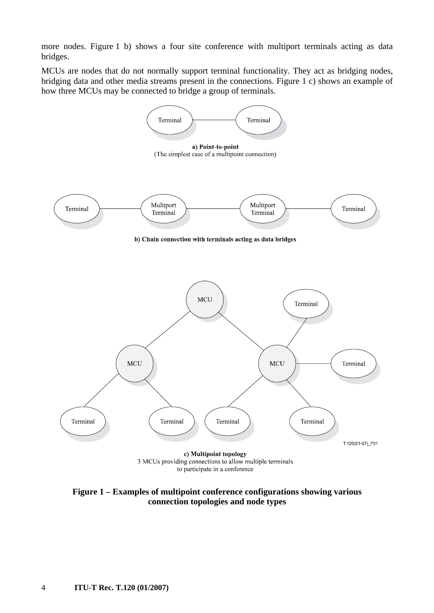more nodes. Figure 1 b) shows a four site conference with multiport terminals acting as data bridges.

MCUs are nodes that do not normally support terminal functionality. They act as bridging nodes, bridging data and other media streams present in the connections. Figure 1 c) shows an example of how three MCUs may be connected to bridge a group of terminals.



**Figure 1 – Examples of multipoint conference configurations showing various connection topologies and node types**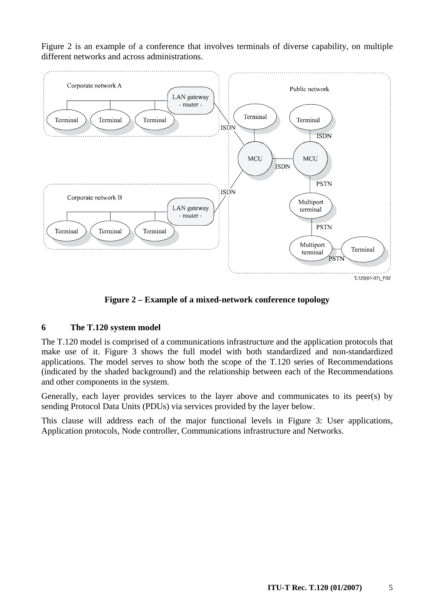Figure 2 is an example of a conference that involves terminals of diverse capability, on multiple different networks and across administrations.



**Figure 2 – Example of a mixed-network conference topology** 

### **6 The T.120 system model**

The T.120 model is comprised of a communications infrastructure and the application protocols that make use of it. Figure 3 shows the full model with both standardized and non-standardized applications. The model serves to show both the scope of the T.120 series of Recommendations (indicated by the shaded background) and the relationship between each of the Recommendations and other components in the system.

Generally, each layer provides services to the layer above and communicates to its peer(s) by sending Protocol Data Units (PDUs) via services provided by the layer below.

This clause will address each of the major functional levels in Figure 3: User applications, Application protocols, Node controller, Communications infrastructure and Networks.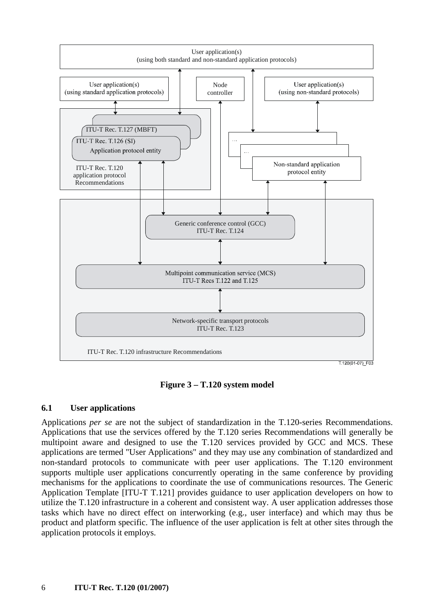

**Figure 3 – T.120 system model** 

### **6.1 User applications**

Applications *per se* are not the subject of standardization in the T.120-series Recommendations. Applications that use the services offered by the T.120 series Recommendations will generally be multipoint aware and designed to use the T.120 services provided by GCC and MCS. These applications are termed "User Applications" and they may use any combination of standardized and non-standard protocols to communicate with peer user applications. The T.120 environment supports multiple user applications concurrently operating in the same conference by providing mechanisms for the applications to coordinate the use of communications resources. The Generic Application Template [ITU-T T.121] provides guidance to user application developers on how to utilize the T.120 infrastructure in a coherent and consistent way. A user application addresses those tasks which have no direct effect on interworking (e.g., user interface) and which may thus be product and platform specific. The influence of the user application is felt at other sites through the application protocols it employs.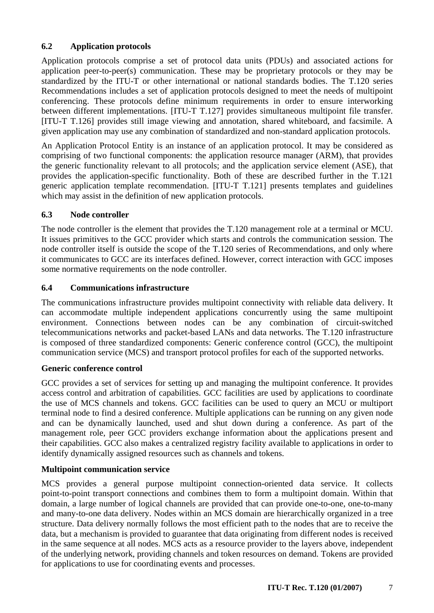### **6.2 Application protocols**

Application protocols comprise a set of protocol data units (PDUs) and associated actions for application peer-to-peer(s) communication. These may be proprietary protocols or they may be standardized by the ITU-T or other international or national standards bodies. The T.120 series Recommendations includes a set of application protocols designed to meet the needs of multipoint conferencing. These protocols define minimum requirements in order to ensure interworking between different implementations. [ITU-T T.127] provides simultaneous multipoint file transfer. [ITU-T T.126] provides still image viewing and annotation, shared whiteboard, and facsimile. A given application may use any combination of standardized and non-standard application protocols.

An Application Protocol Entity is an instance of an application protocol. It may be considered as comprising of two functional components: the application resource manager (ARM), that provides the generic functionality relevant to all protocols; and the application service element (ASE), that provides the application-specific functionality. Both of these are described further in the T.121 generic application template recommendation. [ITU-T T.121] presents templates and guidelines which may assist in the definition of new application protocols.

### **6.3 Node controller**

The node controller is the element that provides the T.120 management role at a terminal or MCU. It issues primitives to the GCC provider which starts and controls the communication session. The node controller itself is outside the scope of the T.120 series of Recommendations, and only where it communicates to GCC are its interfaces defined. However, correct interaction with GCC imposes some normative requirements on the node controller.

### **6.4 Communications infrastructure**

The communications infrastructure provides multipoint connectivity with reliable data delivery. It can accommodate multiple independent applications concurrently using the same multipoint environment. Connections between nodes can be any combination of circuit-switched telecommunications networks and packet-based LANs and data networks. The T.120 infrastructure is composed of three standardized components: Generic conference control (GCC), the multipoint communication service (MCS) and transport protocol profiles for each of the supported networks.

### **Generic conference control**

GCC provides a set of services for setting up and managing the multipoint conference. It provides access control and arbitration of capabilities. GCC facilities are used by applications to coordinate the use of MCS channels and tokens. GCC facilities can be used to query an MCU or multiport terminal node to find a desired conference. Multiple applications can be running on any given node and can be dynamically launched, used and shut down during a conference. As part of the management role, peer GCC providers exchange information about the applications present and their capabilities. GCC also makes a centralized registry facility available to applications in order to identify dynamically assigned resources such as channels and tokens.

### **Multipoint communication service**

MCS provides a general purpose multipoint connection-oriented data service. It collects point-to-point transport connections and combines them to form a multipoint domain. Within that domain, a large number of logical channels are provided that can provide one-to-one, one-to-many and many-to-one data delivery. Nodes within an MCS domain are hierarchically organized in a tree structure. Data delivery normally follows the most efficient path to the nodes that are to receive the data, but a mechanism is provided to guarantee that data originating from different nodes is received in the same sequence at all nodes. MCS acts as a resource provider to the layers above, independent of the underlying network, providing channels and token resources on demand. Tokens are provided for applications to use for coordinating events and processes.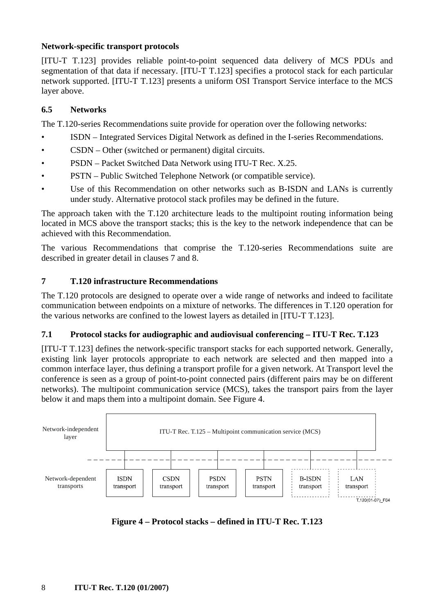### **Network-specific transport protocols**

[ITU-T T.123] provides reliable point-to-point sequenced data delivery of MCS PDUs and segmentation of that data if necessary. [ITU-T T.123] specifies a protocol stack for each particular network supported. [ITU-T T.123] presents a uniform OSI Transport Service interface to the MCS layer above.

### **6.5 Networks**

The T.120-series Recommendations suite provide for operation over the following networks:

- ISDN Integrated Services Digital Network as defined in the I-series Recommendations.
- CSDN Other (switched or permanent) digital circuits.
- PSDN Packet Switched Data Network using ITU-T Rec. X.25.
- PSTN Public Switched Telephone Network (or compatible service).
- Use of this Recommendation on other networks such as B-ISDN and LANs is currently under study. Alternative protocol stack profiles may be defined in the future.

The approach taken with the T.120 architecture leads to the multipoint routing information being located in MCS above the transport stacks; this is the key to the network independence that can be achieved with this Recommendation.

The various Recommendations that comprise the T.120-series Recommendations suite are described in greater detail in clauses 7 and 8.

### **7 T.120 infrastructure Recommendations**

The T.120 protocols are designed to operate over a wide range of networks and indeed to facilitate communication between endpoints on a mixture of networks. The differences in T.120 operation for the various networks are confined to the lowest layers as detailed in [ITU-T T.123].

### **7.1 Protocol stacks for audiographic and audiovisual conferencing – ITU-T Rec. T.123**

[ITU-T T.123] defines the network-specific transport stacks for each supported network. Generally, existing link layer protocols appropriate to each network are selected and then mapped into a common interface layer, thus defining a transport profile for a given network. At Transport level the conference is seen as a group of point-to-point connected pairs (different pairs may be on different networks). The multipoint communication service (MCS), takes the transport pairs from the layer below it and maps them into a multipoint domain. See Figure 4.



**Figure 4 – Protocol stacks – defined in ITU-T Rec. T.123**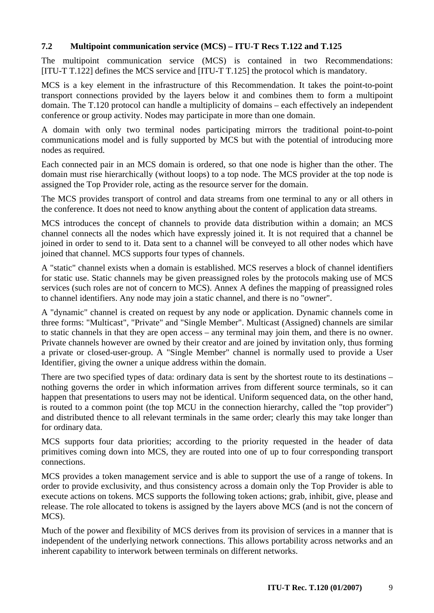### **7.2 Multipoint communication service (MCS) – ITU-T Recs T.122 and T.125**

The multipoint communication service (MCS) is contained in two Recommendations: [ITU-T T.122] defines the MCS service and [ITU-T T.125] the protocol which is mandatory.

MCS is a key element in the infrastructure of this Recommendation. It takes the point-to-point transport connections provided by the layers below it and combines them to form a multipoint domain. The T.120 protocol can handle a multiplicity of domains – each effectively an independent conference or group activity. Nodes may participate in more than one domain.

A domain with only two terminal nodes participating mirrors the traditional point-to-point communications model and is fully supported by MCS but with the potential of introducing more nodes as required.

Each connected pair in an MCS domain is ordered, so that one node is higher than the other. The domain must rise hierarchically (without loops) to a top node. The MCS provider at the top node is assigned the Top Provider role, acting as the resource server for the domain.

The MCS provides transport of control and data streams from one terminal to any or all others in the conference. It does not need to know anything about the content of application data streams.

MCS introduces the concept of channels to provide data distribution within a domain; an MCS channel connects all the nodes which have expressly joined it. It is not required that a channel be joined in order to send to it. Data sent to a channel will be conveyed to all other nodes which have joined that channel. MCS supports four types of channels.

A "static" channel exists when a domain is established. MCS reserves a block of channel identifiers for static use. Static channels may be given preassigned roles by the protocols making use of MCS services (such roles are not of concern to MCS). Annex A defines the mapping of preassigned roles to channel identifiers. Any node may join a static channel, and there is no "owner".

A "dynamic" channel is created on request by any node or application. Dynamic channels come in three forms: "Multicast", "Private" and "Single Member". Multicast (Assigned) channels are similar to static channels in that they are open access – any terminal may join them, and there is no owner. Private channels however are owned by their creator and are joined by invitation only, thus forming a private or closed-user-group. A "Single Member" channel is normally used to provide a User Identifier, giving the owner a unique address within the domain.

There are two specified types of data: ordinary data is sent by the shortest route to its destinations – nothing governs the order in which information arrives from different source terminals, so it can happen that presentations to users may not be identical. Uniform sequenced data, on the other hand, is routed to a common point (the top MCU in the connection hierarchy, called the "top provider") and distributed thence to all relevant terminals in the same order; clearly this may take longer than for ordinary data.

MCS supports four data priorities; according to the priority requested in the header of data primitives coming down into MCS, they are routed into one of up to four corresponding transport connections.

MCS provides a token management service and is able to support the use of a range of tokens. In order to provide exclusivity, and thus consistency across a domain only the Top Provider is able to execute actions on tokens. MCS supports the following token actions; grab, inhibit, give, please and release. The role allocated to tokens is assigned by the layers above MCS (and is not the concern of MCS).

Much of the power and flexibility of MCS derives from its provision of services in a manner that is independent of the underlying network connections. This allows portability across networks and an inherent capability to interwork between terminals on different networks.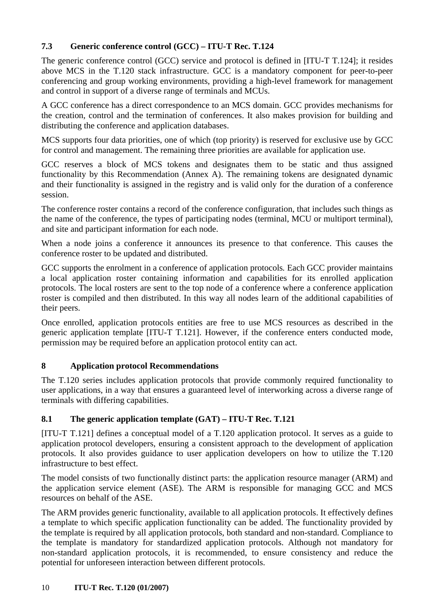### **7.3 Generic conference control (GCC) – ITU-T Rec. T.124**

The generic conference control (GCC) service and protocol is defined in [ITU-T T.124]; it resides above MCS in the T.120 stack infrastructure. GCC is a mandatory component for peer-to-peer conferencing and group working environments, providing a high-level framework for management and control in support of a diverse range of terminals and MCUs.

A GCC conference has a direct correspondence to an MCS domain. GCC provides mechanisms for the creation, control and the termination of conferences. It also makes provision for building and distributing the conference and application databases.

MCS supports four data priorities, one of which (top priority) is reserved for exclusive use by GCC for control and management. The remaining three priorities are available for application use.

GCC reserves a block of MCS tokens and designates them to be static and thus assigned functionality by this Recommendation (Annex A). The remaining tokens are designated dynamic and their functionality is assigned in the registry and is valid only for the duration of a conference session.

The conference roster contains a record of the conference configuration, that includes such things as the name of the conference, the types of participating nodes (terminal, MCU or multiport terminal), and site and participant information for each node.

When a node joins a conference it announces its presence to that conference. This causes the conference roster to be updated and distributed.

GCC supports the enrolment in a conference of application protocols*.* Each GCC provider maintains a local application roster containing information and capabilities for its enrolled application protocols. The local rosters are sent to the top node of a conference where a conference application roster is compiled and then distributed. In this way all nodes learn of the additional capabilities of their peers.

Once enrolled, application protocols entities are free to use MCS resources as described in the generic application template [ITU-T T.121]. However, if the conference enters conducted mode, permission may be required before an application protocol entity can act.

### **8 Application protocol Recommendations**

The T.120 series includes application protocols that provide commonly required functionality to user applications, in a way that ensures a guaranteed level of interworking across a diverse range of terminals with differing capabilities.

### **8.1 The generic application template (GAT) – ITU-T Rec. T.121**

[ITU-T T.121] defines a conceptual model of a T.120 application protocol. It serves as a guide to application protocol developers, ensuring a consistent approach to the development of application protocols. It also provides guidance to user application developers on how to utilize the T.120 infrastructure to best effect.

The model consists of two functionally distinct parts: the application resource manager (ARM) and the application service element (ASE). The ARM is responsible for managing GCC and MCS resources on behalf of the ASE.

The ARM provides generic functionality, available to all application protocols. It effectively defines a template to which specific application functionality can be added. The functionality provided by the template is required by all application protocols, both standard and non-standard. Compliance to the template is mandatory for standardized application protocols. Although not mandatory for non-standard application protocols, it is recommended, to ensure consistency and reduce the potential for unforeseen interaction between different protocols.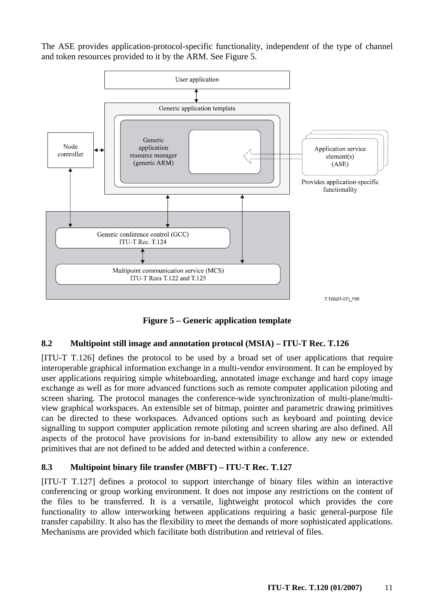The ASE provides application-protocol-specific functionality, independent of the type of channel and token resources provided to it by the ARM. See Figure 5.



**Figure 5 – Generic application template** 

### **8.2 Multipoint still image and annotation protocol (MSIA) – ITU-T Rec. T.126**

[ITU-T T.126] defines the protocol to be used by a broad set of user applications that require interoperable graphical information exchange in a multi-vendor environment. It can be employed by user applications requiring simple whiteboarding, annotated image exchange and hard copy image exchange as well as for more advanced functions such as remote computer application piloting and screen sharing. The protocol manages the conference-wide synchronization of multi-plane/multiview graphical workspaces. An extensible set of bitmap, pointer and parametric drawing primitives can be directed to these workspaces. Advanced options such as keyboard and pointing device signalling to support computer application remote piloting and screen sharing are also defined. All aspects of the protocol have provisions for in-band extensibility to allow any new or extended primitives that are not defined to be added and detected within a conference.

### **8.3 Multipoint binary file transfer (MBFT) – ITU-T Rec. T.127**

[ITU-T T.127] defines a protocol to support interchange of binary files within an interactive conferencing or group working environment. It does not impose any restrictions on the content of the files to be transferred. It is a versatile, lightweight protocol which provides the core functionality to allow interworking between applications requiring a basic general-purpose file transfer capability. It also has the flexibility to meet the demands of more sophisticated applications. Mechanisms are provided which facilitate both distribution and retrieval of files.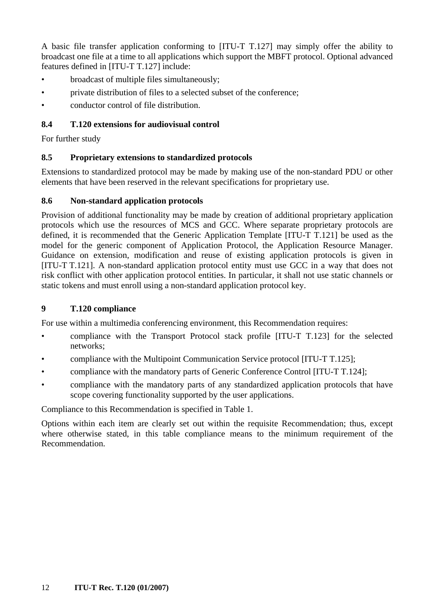A basic file transfer application conforming to [ITU-T T.127] may simply offer the ability to broadcast one file at a time to all applications which support the MBFT protocol. Optional advanced features defined in [ITU-T T.127] include:

- broadcast of multiple files simultaneously;
- private distribution of files to a selected subset of the conference;
- conductor control of file distribution.

### **8.4 T.120 extensions for audiovisual control**

For further study

### **8.5 Proprietary extensions to standardized protocols**

Extensions to standardized protocol may be made by making use of the non-standard PDU or other elements that have been reserved in the relevant specifications for proprietary use.

### **8.6 Non-standard application protocols**

Provision of additional functionality may be made by creation of additional proprietary application protocols which use the resources of MCS and GCC. Where separate proprietary protocols are defined, it is recommended that the Generic Application Template [ITU-T T.121] be used as the model for the generic component of Application Protocol, the Application Resource Manager. Guidance on extension, modification and reuse of existing application protocols is given in [ITU-T T.121]. A non-standard application protocol entity must use GCC in a way that does not risk conflict with other application protocol entities. In particular, it shall not use static channels or static tokens and must enroll using a non-standard application protocol key.

### **9 T.120 compliance**

For use within a multimedia conferencing environment, this Recommendation requires:

- compliance with the Transport Protocol stack profile [ITU-T T.123] for the selected networks;
- compliance with the Multipoint Communication Service protocol [ITU-T T.125];
- compliance with the mandatory parts of Generic Conference Control [ITU-T T.124];
- compliance with the mandatory parts of any standardized application protocols that have scope covering functionality supported by the user applications.

Compliance to this Recommendation is specified in Table 1.

Options within each item are clearly set out within the requisite Recommendation; thus, except where otherwise stated, in this table compliance means to the minimum requirement of the Recommendation.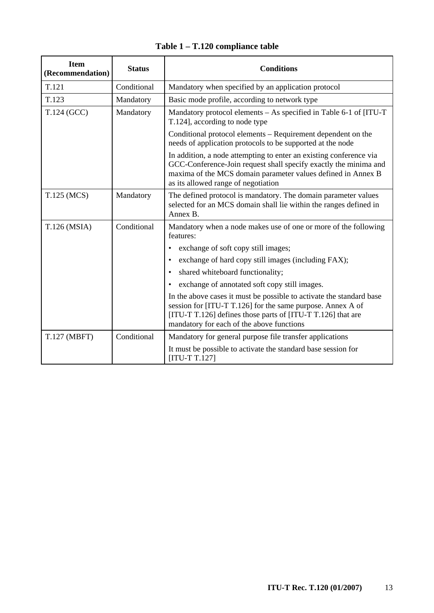| <b>Item</b><br>(Recommendation) | <b>Status</b> | <b>Conditions</b>                                                                                                                                                                                                                              |
|---------------------------------|---------------|------------------------------------------------------------------------------------------------------------------------------------------------------------------------------------------------------------------------------------------------|
| T.121                           | Conditional   | Mandatory when specified by an application protocol                                                                                                                                                                                            |
| T.123                           | Mandatory     | Basic mode profile, according to network type                                                                                                                                                                                                  |
| T.124 (GCC)                     | Mandatory     | Mandatory protocol elements - As specified in Table 6-1 of [ITU-T]<br>T.124], according to node type                                                                                                                                           |
|                                 |               | Conditional protocol elements – Requirement dependent on the<br>needs of application protocols to be supported at the node                                                                                                                     |
|                                 |               | In addition, a node attempting to enter an existing conference via<br>GCC-Conference-Join request shall specify exactly the minima and<br>maxima of the MCS domain parameter values defined in Annex B<br>as its allowed range of negotiation  |
| T.125 (MCS)                     | Mandatory     | The defined protocol is mandatory. The domain parameter values<br>selected for an MCS domain shall lie within the ranges defined in<br>Annex B.                                                                                                |
| $T.126$ (MSIA)                  | Conditional   | Mandatory when a node makes use of one or more of the following<br>features:                                                                                                                                                                   |
|                                 |               | exchange of soft copy still images;<br>$\bullet$                                                                                                                                                                                               |
|                                 |               | exchange of hard copy still images (including FAX);<br>$\bullet$                                                                                                                                                                               |
|                                 |               | shared whiteboard functionality;<br>٠                                                                                                                                                                                                          |
|                                 |               | exchange of annotated soft copy still images.                                                                                                                                                                                                  |
|                                 |               | In the above cases it must be possible to activate the standard base<br>session for [ITU-T T.126] for the same purpose. Annex A of<br>[ITU-T T.126] defines those parts of [ITU-T T.126] that are<br>mandatory for each of the above functions |
| T.127 (MBFT)                    | Conditional   | Mandatory for general purpose file transfer applications                                                                                                                                                                                       |
|                                 |               | It must be possible to activate the standard base session for<br>$[ITU-T T.127]$                                                                                                                                                               |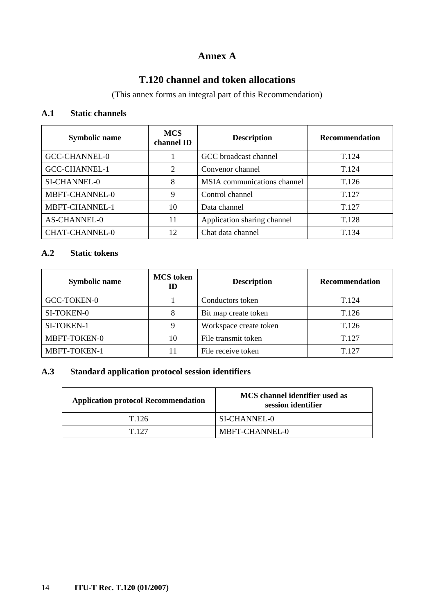# **Annex A**

# **T.120 channel and token allocations**

(This annex forms an integral part of this Recommendation)

### **A.1 Static channels**

| <b>Symbolic name</b>  | <b>MCS</b><br>channel ID | <b>Description</b>          | <b>Recommendation</b> |
|-----------------------|--------------------------|-----------------------------|-----------------------|
| GCC-CHANNEL-0         |                          | GCC broadcast channel       | T.124                 |
| <b>GCC-CHANNEL-1</b>  | 2                        | Convenor channel            | T.124                 |
| SI-CHANNEL-0          | 8                        | MSIA communications channel | T.126                 |
| MBFT-CHANNEL-0        | 9                        | Control channel             | T.127                 |
| <b>MBFT-CHANNEL-1</b> | 10                       | Data channel                | T.127                 |
| <b>AS-CHANNEL-0</b>   | 11                       | Application sharing channel | T.128                 |
| <b>CHAT-CHANNEL-0</b> | 12                       | Chat data channel           | T.134                 |

### **A.2 Static tokens**

| <b>Symbolic name</b> | <b>MCS</b> token<br>ID | <b>Description</b>     | <b>Recommendation</b> |
|----------------------|------------------------|------------------------|-----------------------|
| GCC-TOKEN-0          |                        | Conductors token       | T.124                 |
| SI-TOKEN-0           | 8                      | Bit map create token   | T.126                 |
| SI-TOKEN-1           | Q                      | Workspace create token | T.126                 |
| MBFT-TOKEN-0         | 10                     | File transmit token    | T.127                 |
| MBFT-TOKEN-1         |                        | File receive token     | T.127                 |

### **A.3 Standard application protocol session identifiers**

| <b>Application protocol Recommendation</b> | MCS channel identifier used as<br>session identifier |
|--------------------------------------------|------------------------------------------------------|
| T.126                                      | SI-CHANNEL-0                                         |
| T 127                                      | MBFT-CHANNEL-0                                       |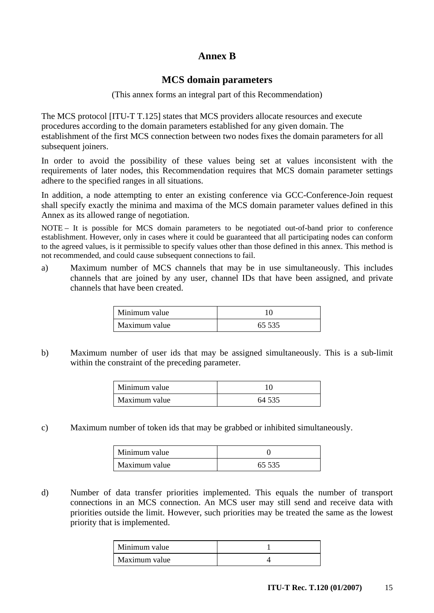### **Annex B**

### **MCS domain parameters**

(This annex forms an integral part of this Recommendation)

The MCS protocol [ITU-T T.125] states that MCS providers allocate resources and execute procedures according to the domain parameters established for any given domain. The establishment of the first MCS connection between two nodes fixes the domain parameters for all subsequent joiners.

In order to avoid the possibility of these values being set at values inconsistent with the requirements of later nodes, this Recommendation requires that MCS domain parameter settings adhere to the specified ranges in all situations.

In addition, a node attempting to enter an existing conference via GCC-Conference-Join request shall specify exactly the minima and maxima of the MCS domain parameter values defined in this Annex as its allowed range of negotiation.

NOTE – It is possible for MCS domain parameters to be negotiated out-of-band prior to conference establishment. However, only in cases where it could be guaranteed that all participating nodes can conform to the agreed values, is it permissible to specify values other than those defined in this annex. This method is not recommended, and could cause subsequent connections to fail.

a) Maximum number of MCS channels that may be in use simultaneously. This includes channels that are joined by any user, channel IDs that have been assigned, and private channels that have been created.

| Minimum value |         |
|---------------|---------|
| Maximum value | 65 5 35 |

b) Maximum number of user ids that may be assigned simultaneously. This is a sub-limit within the constraint of the preceding parameter.

| Minimum value |        |
|---------------|--------|
| Maximum value | 64 535 |

c) Maximum number of token ids that may be grabbed or inhibited simultaneously.

| Minimum value |         |
|---------------|---------|
| Maximum value | 65 5 35 |

d) Number of data transfer priorities implemented. This equals the number of transport connections in an MCS connection. An MCS user may still send and receive data with priorities outside the limit. However, such priorities may be treated the same as the lowest priority that is implemented.

| Minimum value |  |
|---------------|--|
| Maximum value |  |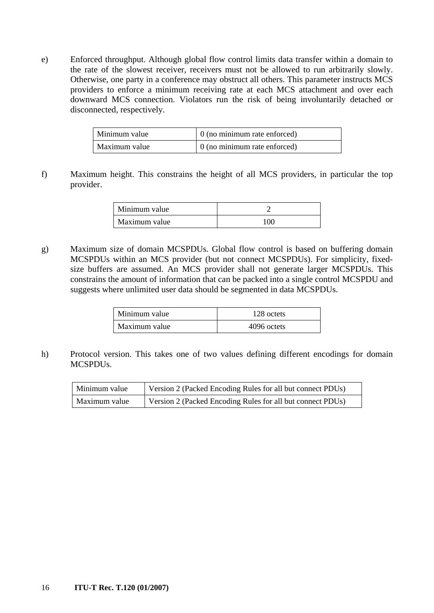e) Enforced throughput. Although global flow control limits data transfer within a domain to the rate of the slowest receiver, receivers must not be allowed to run arbitrarily slowly. Otherwise, one party in a conference may obstruct all others. This parameter instructs MCS providers to enforce a minimum receiving rate at each MCS attachment and over each downward MCS connection. Violators run the risk of being involuntarily detached or disconnected, respectively.

| Minimum value | $\vert$ 0 (no minimum rate enforced) |
|---------------|--------------------------------------|
| Maximum value | $\vert$ 0 (no minimum rate enforced) |

f) Maximum height. This constrains the height of all MCS providers, in particular the top provider.

| Minimum value |     |
|---------------|-----|
| Maximum value | '00 |

g) Maximum size of domain MCSPDUs. Global flow control is based on buffering domain MCSPDUs within an MCS provider (but not connect MCSPDUs). For simplicity, fixedsize buffers are assumed. An MCS provider shall not generate larger MCSPDUs. This constrains the amount of information that can be packed into a single control MCSPDU and suggests where unlimited user data should be segmented in data MCSPDUs.

| Minimum value | 128 octets  |
|---------------|-------------|
| Maximum value | 4096 octets |

h) Protocol version. This takes one of two values defining different encodings for domain **MCSPDUs** 

| Minimum value | Version 2 (Packed Encoding Rules for all but connect PDUs) |
|---------------|------------------------------------------------------------|
| Maximum value | Version 2 (Packed Encoding Rules for all but connect PDUs) |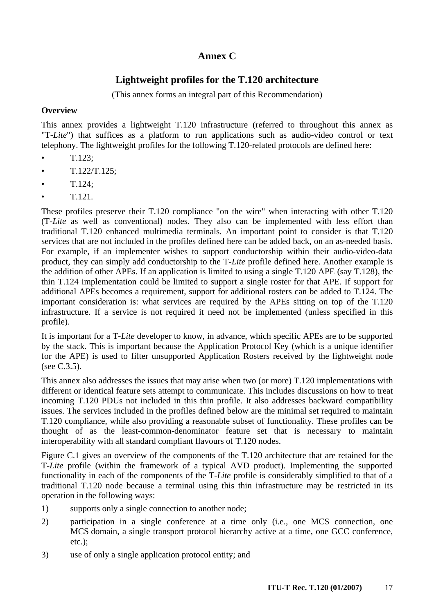# **Annex C**

### **Lightweight profiles for the T.120 architecture**

(This annex forms an integral part of this Recommendation)

### **Overview**

This annex provides a lightweight T.120 infrastructure (referred to throughout this annex as "T-*Lite*") that suffices as a platform to run applications such as audio-video control or text telephony. The lightweight profiles for the following T.120-related protocols are defined here:

- T.123;
- T.122/T.125;
- $T.124:$
- T 121

These profiles preserve their T.120 compliance "on the wire" when interacting with other T.120 (T-*Lite* as well as conventional) nodes. They also can be implemented with less effort than traditional T.120 enhanced multimedia terminals. An important point to consider is that T.120 services that are not included in the profiles defined here can be added back, on an as-needed basis. For example, if an implementer wishes to support conductorship within their audio-video-data product, they can simply add conductorship to the T-*Lite* profile defined here. Another example is the addition of other APEs. If an application is limited to using a single T.120 APE (say T.128), the thin T.124 implementation could be limited to support a single roster for that APE. If support for additional APEs becomes a requirement, support for additional rosters can be added to T.124. The important consideration is: what services are required by the APEs sitting on top of the T.120 infrastructure. If a service is not required it need not be implemented (unless specified in this profile).

It is important for a T-*Lite* developer to know, in advance, which specific APEs are to be supported by the stack. This is important because the Application Protocol Key (which is a unique identifier for the APE) is used to filter unsupported Application Rosters received by the lightweight node (see C.3.5).

This annex also addresses the issues that may arise when two (or more) T.120 implementations with different or identical feature sets attempt to communicate. This includes discussions on how to treat incoming T.120 PDUs not included in this thin profile. It also addresses backward compatibility issues. The services included in the profiles defined below are the minimal set required to maintain T.120 compliance, while also providing a reasonable subset of functionality. These profiles can be thought of as the least-common-denominator feature set that is necessary to maintain interoperability with all standard compliant flavours of T.120 nodes.

Figure C.1 gives an overview of the components of the T.120 architecture that are retained for the T-*Lite* profile (within the framework of a typical AVD product). Implementing the supported functionality in each of the components of the T-*Lite* profile is considerably simplified to that of a traditional T.120 node because a terminal using this thin infrastructure may be restricted in its operation in the following ways:

- 1) supports only a single connection to another node;
- 2) participation in a single conference at a time only (i.e., one MCS connection, one MCS domain, a single transport protocol hierarchy active at a time, one GCC conference, etc.);
- 3) use of only a single application protocol entity; and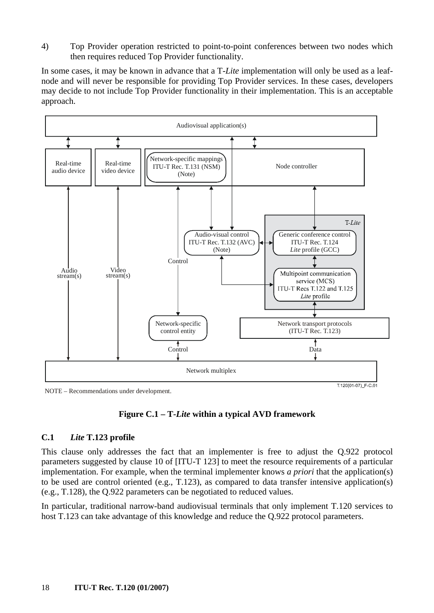4) Top Provider operation restricted to point-to-point conferences between two nodes which then requires reduced Top Provider functionality.

In some cases, it may be known in advance that a T-*Lite* implementation will only be used as a leafnode and will never be responsible for providing Top Provider services. In these cases, developers may decide to not include Top Provider functionality in their implementation. This is an acceptable approach.



NOTE – Recommendations under development.

### **Figure C.1 – T-***Lite* **within a typical AVD framework**

### **C.1** *Lite* **T.123 profile**

This clause only addresses the fact that an implementer is free to adjust the Q.922 protocol parameters suggested by clause 10 of [ITU-T 123] to meet the resource requirements of a particular implementation. For example, when the terminal implementer knows *a priori* that the application(s) to be used are control oriented (e.g., T.123), as compared to data transfer intensive application(s) (e.g., T.128), the Q.922 parameters can be negotiated to reduced values.

In particular, traditional narrow-band audiovisual terminals that only implement T.120 services to host T.123 can take advantage of this knowledge and reduce the Q.922 protocol parameters.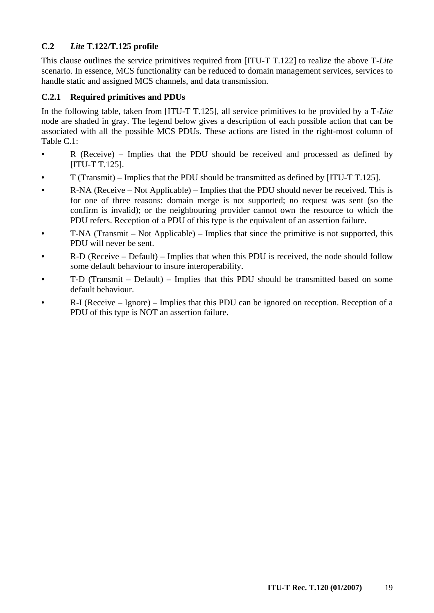### **C.2** *Lite* **T.122/T.125 profile**

This clause outlines the service primitives required from [ITU-T T.122] to realize the above T-*Lite* scenario. In essence, MCS functionality can be reduced to domain management services, services to handle static and assigned MCS channels, and data transmission.

### **C.2.1 Required primitives and PDUs**

In the following table, taken from [ITU-T T.125], all service primitives to be provided by a T-*Lite* node are shaded in gray. The legend below gives a description of each possible action that can be associated with all the possible MCS PDUs. These actions are listed in the right-most column of Table C.1:

- R (Receive) Implies that the PDU should be received and processed as defined by [ITU-T T.125].
- T (Transmit) Implies that the PDU should be transmitted as defined by [ITU-T T.125].
- R-NA (Receive Not Applicable) Implies that the PDU should never be received. This is for one of three reasons: domain merge is not supported; no request was sent (so the confirm is invalid); or the neighbouring provider cannot own the resource to which the PDU refers. Reception of a PDU of this type is the equivalent of an assertion failure.
- T-NA (Transmit Not Applicable) Implies that since the primitive is not supported, this PDU will never be sent.
- R-D (Receive Default) Implies that when this PDU is received, the node should follow some default behaviour to insure interoperability.
- T-D (Transmit Default) Implies that this PDU should be transmitted based on some default behaviour.
- R-I (Receive Ignore) Implies that this PDU can be ignored on reception. Reception of a PDU of this type is NOT an assertion failure.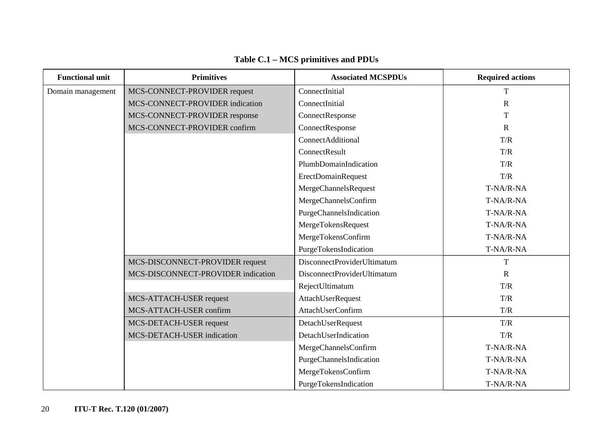| <b>Functional unit</b> | <b>Primitives</b>                  | <b>Associated MCSPDUs</b>   | <b>Required actions</b> |
|------------------------|------------------------------------|-----------------------------|-------------------------|
| Domain management      | MCS-CONNECT-PROVIDER request       | ConnectInitial              | T                       |
|                        | MCS-CONNECT-PROVIDER indication    | ConnectInitial              | $\mathbf R$             |
|                        | MCS-CONNECT-PROVIDER response      | ConnectResponse             | $\mathbf T$             |
|                        | MCS-CONNECT-PROVIDER confirm       | ConnectResponse             | $\mathbf R$             |
|                        |                                    | ConnectAdditional           | T/R                     |
|                        |                                    | ConnectResult               | T/R                     |
|                        |                                    | PlumbDomainIndication       | T/R                     |
|                        |                                    | ErectDomainRequest          | T/R                     |
|                        |                                    | MergeChannelsRequest        | T-NA/R-NA               |
|                        |                                    | MergeChannelsConfirm        | T-NA/R-NA               |
|                        |                                    | PurgeChannelsIndication     | T-NA/R-NA               |
|                        |                                    | MergeTokensRequest          | T-NA/R-NA               |
|                        |                                    | MergeTokensConfirm          | T-NA/R-NA               |
|                        |                                    | PurgeTokensIndication       | T-NA/R-NA               |
|                        | MCS-DISCONNECT-PROVIDER request    | DisconnectProviderUltimatum | T                       |
|                        | MCS-DISCONNECT-PROVIDER indication | DisconnectProviderUltimatum | $\mathbf R$             |
|                        |                                    | RejectUltimatum             | T/R                     |
|                        | MCS-ATTACH-USER request            | AttachUserRequest           | T/R                     |
|                        | MCS-ATTACH-USER confirm            | AttachUserConfirm           | T/R                     |
|                        | MCS-DETACH-USER request            | DetachUserRequest           | T/R                     |
|                        | MCS-DETACH-USER indication         | DetachUserIndication        | T/R                     |
|                        |                                    | MergeChannelsConfirm        | T-NA/R-NA               |
|                        |                                    | PurgeChannelsIndication     | T-NA/R-NA               |
|                        |                                    | MergeTokensConfirm          | T-NA/R-NA               |
|                        |                                    | PurgeTokensIndication       | T-NA/R-NA               |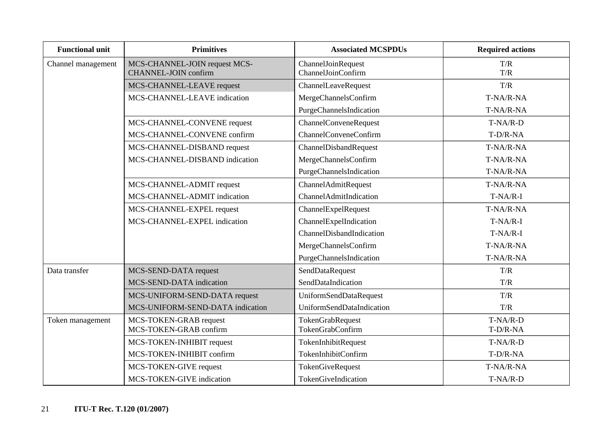| <b>Functional unit</b> | <b>Primitives</b>                                            | <b>Associated MCSPDUs</b>                | <b>Required actions</b> |
|------------------------|--------------------------------------------------------------|------------------------------------------|-------------------------|
| Channel management     | MCS-CHANNEL-JOIN request MCS-<br><b>CHANNEL-JOIN</b> confirm | ChannelJoinRequest<br>ChannelJoinConfirm | T/R<br>T/R              |
|                        | MCS-CHANNEL-LEAVE request                                    | ChannelLeaveRequest                      | T/R                     |
|                        | MCS-CHANNEL-LEAVE indication                                 | MergeChannelsConfirm                     | T-NA/R-NA               |
|                        |                                                              | PurgeChannelsIndication                  | T-NA/R-NA               |
|                        | MCS-CHANNEL-CONVENE request                                  | ChannelConveneRequest                    | $T-NA/R-D$              |
|                        | MCS-CHANNEL-CONVENE confirm                                  | ChannelConveneConfirm                    | $T-D/R-NA$              |
|                        | MCS-CHANNEL-DISBAND request                                  | ChannelDisbandRequest                    | T-NA/R-NA               |
|                        | MCS-CHANNEL-DISBAND indication                               | MergeChannelsConfirm                     | T-NA/R-NA               |
|                        |                                                              | PurgeChannelsIndication                  | T-NA/R-NA               |
|                        | MCS-CHANNEL-ADMIT request                                    | ChannelAdmitRequest                      | T-NA/R-NA               |
|                        | MCS-CHANNEL-ADMIT indication                                 | ChannelAdmitIndication                   | T-NA/R-I                |
|                        | MCS-CHANNEL-EXPEL request                                    | ChannelExpelRequest                      | T-NA/R-NA               |
|                        | MCS-CHANNEL-EXPEL indication                                 | ChannelExpelIndication                   | T-NA/R-I                |
|                        |                                                              | ChannelDisbandIndication                 | T-NA/R-I                |
|                        |                                                              | MergeChannelsConfirm                     | T-NA/R-NA               |
|                        |                                                              | PurgeChannelsIndication                  | T-NA/R-NA               |
| Data transfer          | MCS-SEND-DATA request                                        | SendDataRequest                          | T/R                     |
|                        | MCS-SEND-DATA indication                                     | SendDataIndication                       | T/R                     |
|                        | MCS-UNIFORM-SEND-DATA request                                | UniformSendDataRequest                   | T/R                     |
|                        | MCS-UNIFORM-SEND-DATA indication                             | UniformSendDataIndication                | T/R                     |
| Token management       | MCS-TOKEN-GRAB request<br>MCS-TOKEN-GRAB confirm             | TokenGrabRequest<br>TokenGrabConfirm     | T-NA/R-D<br>$T-D/R-NA$  |
|                        | MCS-TOKEN-INHIBIT request                                    | TokenInhibitRequest                      | T-NA/R-D                |
|                        | MCS-TOKEN-INHIBIT confirm                                    | TokenInhibitConfirm                      | $T-D/R-NA$              |
|                        | MCS-TOKEN-GIVE request                                       | TokenGiveRequest                         | T-NA/R-NA               |
|                        | MCS-TOKEN-GIVE indication                                    | TokenGiveIndication                      | T-NA/R-D                |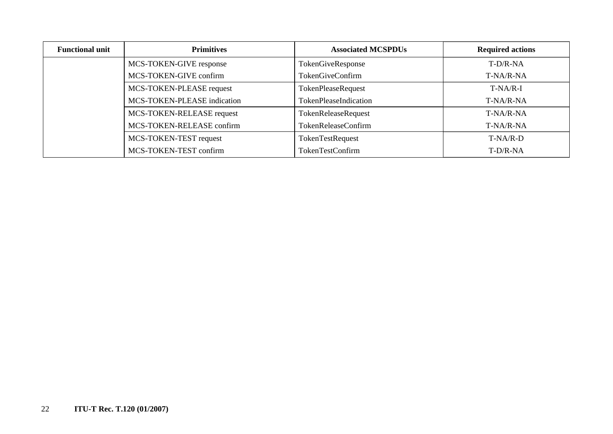| <b>Functional unit</b> | <b>Primitives</b>           | <b>Associated MCSPDUs</b> | <b>Required actions</b> |
|------------------------|-----------------------------|---------------------------|-------------------------|
|                        | MCS-TOKEN-GIVE response     | TokenGiveResponse         | $T-D/R-NA$              |
|                        | MCS-TOKEN-GIVE confirm      | TokenGiveConfirm          | T-NA/R-NA               |
|                        | MCS-TOKEN-PLEASE request    | <b>TokenPleaseRequest</b> | $T-NA/R-I$              |
|                        | MCS-TOKEN-PLEASE indication | TokenPleaseIndication     | T-NA/R-NA               |
|                        | MCS-TOKEN-RELEASE request   | TokenReleaseRequest       | T-NA/R-NA               |
|                        | MCS-TOKEN-RELEASE confirm   | TokenReleaseConfirm       | T-NA/R-NA               |
|                        | MCS-TOKEN-TEST request      | TokenTestRequest          | $T-NA/R-D$              |
|                        | MCS-TOKEN-TEST confirm      | TokenTestConfirm          | $T-D/R-NA$              |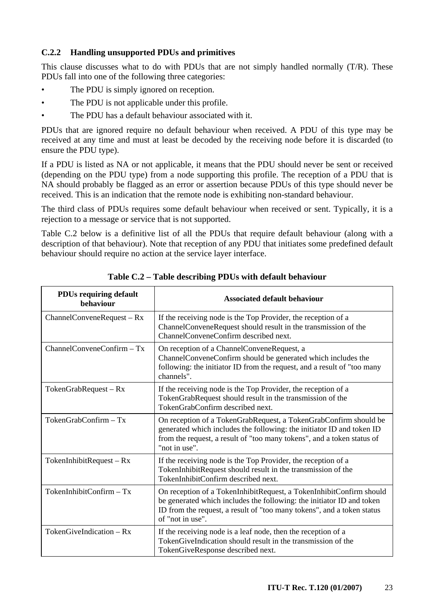### **C.2.2 Handling unsupported PDUs and primitives**

This clause discusses what to do with PDUs that are not simply handled normally (T/R). These PDUs fall into one of the following three categories:

- The PDU is simply ignored on reception.
- The PDU is not applicable under this profile.
- The PDU has a default behaviour associated with it.

PDUs that are ignored require no default behaviour when received. A PDU of this type may be received at any time and must at least be decoded by the receiving node before it is discarded (to ensure the PDU type).

If a PDU is listed as NA or not applicable, it means that the PDU should never be sent or received (depending on the PDU type) from a node supporting this profile. The reception of a PDU that is NA should probably be flagged as an error or assertion because PDUs of this type should never be received. This is an indication that the remote node is exhibiting non-standard behaviour.

The third class of PDUs requires some default behaviour when received or sent. Typically, it is a rejection to a message or service that is not supported.

Table C.2 below is a definitive list of all the PDUs that require default behaviour (along with a description of that behaviour). Note that reception of any PDU that initiates some predefined default behaviour should require no action at the service layer interface.

| <b>PDUs requiring default</b><br>behaviour | <b>Associated default behaviour</b>                                                                                                                                                                                                        |
|--------------------------------------------|--------------------------------------------------------------------------------------------------------------------------------------------------------------------------------------------------------------------------------------------|
| $ChannelConveneRequest - Rx$               | If the receiving node is the Top Provider, the reception of a<br>ChannelConveneRequest should result in the transmission of the<br>ChannelConveneConfirm described next.                                                                   |
| $ChannelConveneConfirm - Tx$               | On reception of a ChannelConveneRequest, a<br>ChannelConveneConfirm should be generated which includes the<br>following: the initiator ID from the request, and a result of "too many<br>channels".                                        |
| $TokenGraphRequest - Rx$                   | If the receiving node is the Top Provider, the reception of a<br>TokenGrabRequest should result in the transmission of the<br>TokenGrabConfirm described next.                                                                             |
| $TokenGrabConfirm - Tx$                    | On reception of a TokenGrabRequest, a TokenGrabConfirm should be<br>generated which includes the following: the initiator ID and token ID<br>from the request, a result of "too many tokens", and a token status of<br>"not in use".       |
| TokenInhibitRequest – $Rx$                 | If the receiving node is the Top Provider, the reception of a<br>TokenInhibitRequest should result in the transmission of the<br>TokenInhibitConfirm described next.                                                                       |
| $TokenInhibitConfirm - Tx$                 | On reception of a TokenInhibitRequest, a TokenInhibitConfirm should<br>be generated which includes the following: the initiator ID and token<br>ID from the request, a result of "too many tokens", and a token status<br>of "not in use". |
| TokenGiveIndication $-Rx$                  | If the receiving node is a leaf node, then the reception of a<br>TokenGiveIndication should result in the transmission of the<br>TokenGiveResponse described next.                                                                         |

**Table C.2 – Table describing PDUs with default behaviour**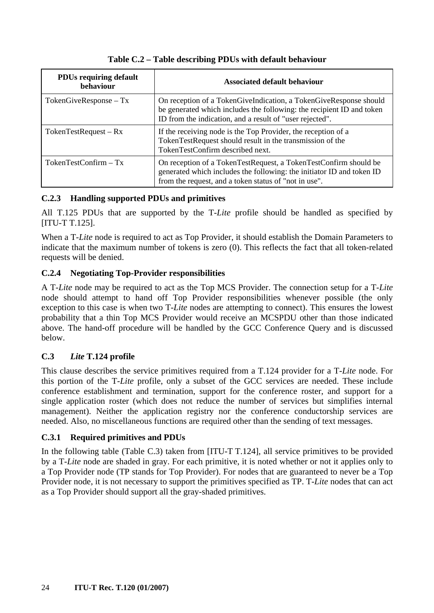| <b>PDUs requiring default</b><br><b>behaviour</b> | <b>Associated default behaviour</b>                                                                                                                                                                    |
|---------------------------------------------------|--------------------------------------------------------------------------------------------------------------------------------------------------------------------------------------------------------|
| $TokenGiveResponse - Tx$                          | On reception of a TokenGiveIndication, a TokenGiveResponse should<br>be generated which includes the following: the recipient ID and token<br>ID from the indication, and a result of "user rejected". |
| $TokenTestRequest - Rx$                           | If the receiving node is the Top Provider, the reception of a<br>TokenTestRequest should result in the transmission of the<br>TokenTestConfirm described next.                                         |
| $TokenTestConfirm - Tx$                           | On reception of a TokenTestRequest, a TokenTestConfirm should be<br>generated which includes the following: the initiator ID and token ID<br>from the request, and a token status of "not in use".     |

### **Table C.2 – Table describing PDUs with default behaviour**

### **C.2.3 Handling supported PDUs and primitives**

All T.125 PDUs that are supported by the T-*Lite* profile should be handled as specified by [ITU-T T.125].

When a T-*Lite* node is required to act as Top Provider, it should establish the Domain Parameters to indicate that the maximum number of tokens is zero (0). This reflects the fact that all token-related requests will be denied.

### **C.2.4 Negotiating Top-Provider responsibilities**

A T-*Lite* node may be required to act as the Top MCS Provider. The connection setup for a T-*Lite* node should attempt to hand off Top Provider responsibilities whenever possible (the only exception to this case is when two T-*Lite* nodes are attempting to connect). This ensures the lowest probability that a thin Top MCS Provider would receive an MCSPDU other than those indicated above. The hand-off procedure will be handled by the GCC Conference Query and is discussed below.

### **C.3** *Lite* **T.124 profile**

This clause describes the service primitives required from a T.124 provider for a T-*Lite* node. For this portion of the T-*Lite* profile, only a subset of the GCC services are needed. These include conference establishment and termination, support for the conference roster, and support for a single application roster (which does not reduce the number of services but simplifies internal management). Neither the application registry nor the conference conductorship services are needed. Also, no miscellaneous functions are required other than the sending of text messages.

### **C.3.1 Required primitives and PDUs**

In the following table (Table C.3) taken from [ITU-T T.124], all service primitives to be provided by a T-*Lite* node are shaded in gray. For each primitive, it is noted whether or not it applies only to a Top Provider node (TP stands for Top Provider). For nodes that are guaranteed to never be a Top Provider node, it is not necessary to support the primitives specified as TP. T-*Lite* nodes that can act as a Top Provider should support all the gray-shaded primitives.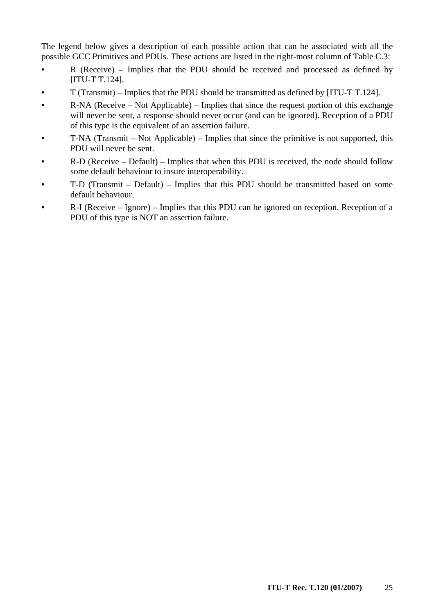The legend below gives a description of each possible action that can be associated with all the possible GCC Primitives and PDUs. These actions are listed in the right-most column of Table C.3:

- **R** (Receive) Implies that the PDU should be received and processed as defined by [ITU-T T.124].
- T (Transmit) Implies that the PDU should be transmitted as defined by [ITU-T T.124].
- R-NA (Receive Not Applicable) Implies that since the request portion of this exchange will never be sent, a response should never occur (and can be ignored). Reception of a PDU of this type is the equivalent of an assertion failure.
- T-NA (Transmit Not Applicable) Implies that since the primitive is not supported, this PDU will never be sent.
- R-D (Receive Default) Implies that when this PDU is received, the node should follow some default behaviour to insure interoperability.
- T-D (Transmit Default) Implies that this PDU should be transmitted based on some default behaviour.
- R-I (Receive Ignore) Implies that this PDU can be ignored on reception. Reception of a PDU of this type is NOT an assertion failure.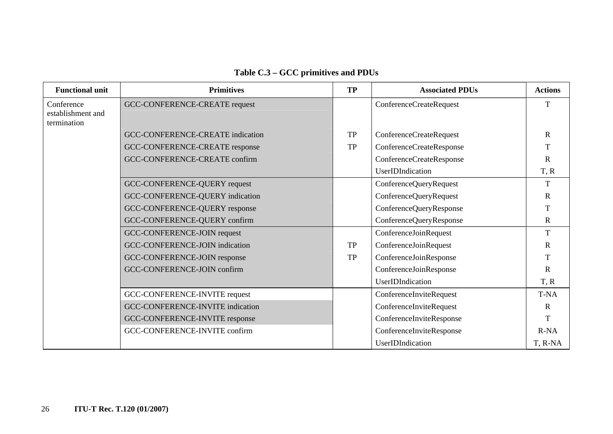**Table C.3 – GCC primitives and PDUs** 

| <b>Functional unit</b>                         | <b>Primitives</b>                       | <b>TP</b> | <b>Associated PDUs</b>   | <b>Actions</b> |
|------------------------------------------------|-----------------------------------------|-----------|--------------------------|----------------|
| Conference<br>establishment and<br>termination | GCC-CONFERENCE-CREATE request           |           | ConferenceCreateRequest  | T              |
|                                                | GCC-CONFERENCE-CREATE indication        | TP        | ConferenceCreateRequest  | $\mathbf R$    |
|                                                | GCC-CONFERENCE-CREATE response          | TP        | ConferenceCreateResponse | T              |
|                                                | GCC-CONFERENCE-CREATE confirm           |           | ConferenceCreateResponse | $\mathbf R$    |
|                                                |                                         |           | UserIDIndication         | T, R           |
|                                                | GCC-CONFERENCE-QUERY request            |           | ConferenceQueryRequest   | $\mathbf T$    |
|                                                | GCC-CONFERENCE-QUERY indication         |           | ConferenceQueryRequest   | $\mathbf R$    |
|                                                | GCC-CONFERENCE-QUERY response           |           | ConferenceQueryResponse  | T              |
|                                                | GCC-CONFERENCE-QUERY confirm            |           | ConferenceQueryResponse  | $\mathbf R$    |
|                                                | GCC-CONFERENCE-JOIN request             |           | ConferenceJoinRequest    | $\mathbf T$    |
|                                                | GCC-CONFERENCE-JOIN indication          | TP        | ConferenceJoinRequest    | $\mathbf R$    |
|                                                | GCC-CONFERENCE-JOIN response            | <b>TP</b> | ConferenceJoinResponse   | T              |
|                                                | GCC-CONFERENCE-JOIN confirm             |           | ConferenceJoinResponse   | $\mathbf R$    |
|                                                |                                         |           | UserIDIndication         | T, R           |
|                                                | GCC-CONFERENCE-INVITE request           |           | ConferenceInviteRequest  | T-NA           |
|                                                | <b>GCC-CONFERENCE-INVITE indication</b> |           | ConferenceInviteRequest  | $\mathbb{R}$   |
|                                                | GCC-CONFERENCE-INVITE response          |           | ConferenceInviteResponse | T              |
|                                                | GCC-CONFERENCE-INVITE confirm           |           | ConferenceInviteResponse | $R-NA$         |
|                                                |                                         |           | UserIDIndication         | T, R-NA        |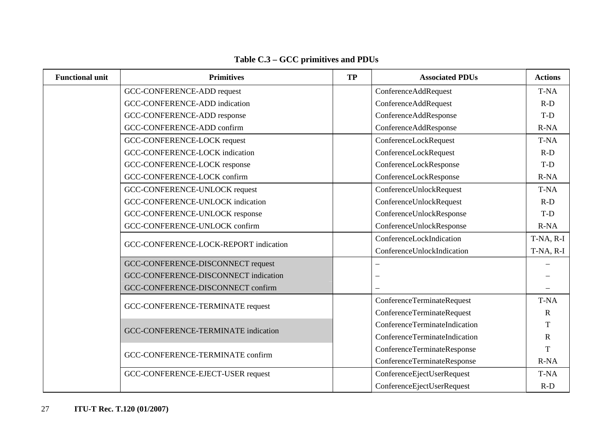| <b>Functional unit</b> | <b>Primitives</b>                     | <b>TP</b> | <b>Associated PDUs</b>        | <b>Actions</b> |
|------------------------|---------------------------------------|-----------|-------------------------------|----------------|
|                        | GCC-CONFERENCE-ADD request            |           | ConferenceAddRequest          | T-NA           |
|                        | <b>GCC-CONFERENCE-ADD</b> indication  |           | ConferenceAddRequest          | $R-D$          |
|                        | GCC-CONFERENCE-ADD response           |           | ConferenceAddResponse         | $T-D$          |
|                        | GCC-CONFERENCE-ADD confirm            |           | ConferenceAddResponse         | $R-NA$         |
|                        | GCC-CONFERENCE-LOCK request           |           | ConferenceLockRequest         | T-NA           |
|                        | <b>GCC-CONFERENCE-LOCK</b> indication |           | ConferenceLockRequest         | $R-D$          |
|                        | GCC-CONFERENCE-LOCK response          |           | ConferenceLockResponse        | T-D            |
|                        | GCC-CONFERENCE-LOCK confirm           |           | ConferenceLockResponse        | $R-NA$         |
|                        | GCC-CONFERENCE-UNLOCK request         |           | ConferenceUnlockRequest       | T-NA           |
|                        | GCC-CONFERENCE-UNLOCK indication      |           | ConferenceUnlockRequest       | $R-D$          |
|                        | GCC-CONFERENCE-UNLOCK response        |           | ConferenceUnlockResponse      | $T-D$          |
|                        | GCC-CONFERENCE-UNLOCK confirm         |           | ConferenceUnlockResponse      | $R-NA$         |
|                        | GCC-CONFERENCE-LOCK-REPORT indication |           | ConferenceLockIndication      | T-NA, R-I      |
|                        |                                       |           | ConferenceUnlockIndication    | T-NA, R-I      |
|                        | GCC-CONFERENCE-DISCONNECT request     |           |                               |                |
|                        | GCC-CONFERENCE-DISCONNECT indication  |           |                               |                |
|                        | GCC-CONFERENCE-DISCONNECT confirm     |           |                               |                |
|                        |                                       |           | ConferenceTerminateRequest    | T-NA           |
|                        | GCC-CONFERENCE-TERMINATE request      |           | ConferenceTerminateRequest    | $\mathbf R$    |
|                        |                                       |           | ConferenceTerminateIndication | $\mathbf T$    |
|                        | GCC-CONFERENCE-TERMINATE indication   |           | ConferenceTerminateIndication | $\mathbf R$    |
|                        |                                       |           | ConferenceTerminateResponse   | T              |
|                        | GCC-CONFERENCE-TERMINATE confirm      |           | ConferenceTerminateResponse   | $R-NA$         |
|                        | GCC-CONFERENCE-EJECT-USER request     |           | ConferenceEjectUserRequest    | T-NA           |
|                        |                                       |           | ConferenceEjectUserRequest    | $R-D$          |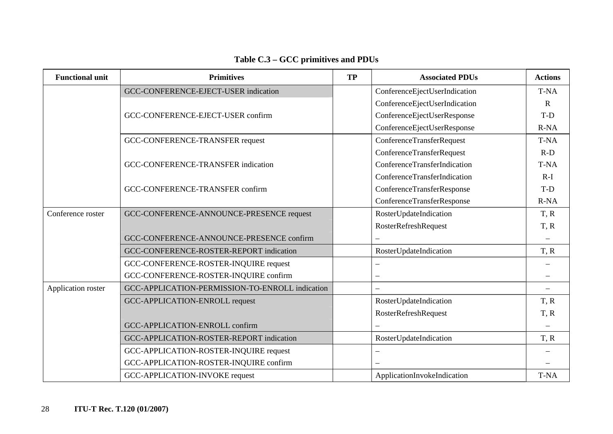| <b>Functional unit</b> | <b>Primitives</b>                               | <b>TP</b> | <b>Associated PDUs</b>        | <b>Actions</b> |
|------------------------|-------------------------------------------------|-----------|-------------------------------|----------------|
|                        | GCC-CONFERENCE-EJECT-USER indication            |           | ConferenceEjectUserIndication | T-NA           |
|                        |                                                 |           | ConferenceEjectUserIndication | $\mathbf R$    |
|                        | GCC-CONFERENCE-EJECT-USER confirm               |           | ConferenceEjectUserResponse   | $T-D$          |
|                        |                                                 |           | ConferenceEjectUserResponse   | R-NA           |
|                        | GCC-CONFERENCE-TRANSFER request                 |           | ConferenceTransferRequest     | T-NA           |
|                        |                                                 |           | ConferenceTransferRequest     | $R-D$          |
|                        | GCC-CONFERENCE-TRANSFER indication              |           | ConferenceTransferIndication  | T-NA           |
|                        |                                                 |           | ConferenceTransferIndication  | $R-I$          |
|                        | GCC-CONFERENCE-TRANSFER confirm                 |           | ConferenceTransferResponse    | $T-D$          |
|                        |                                                 |           | ConferenceTransferResponse    | $R-NA$         |
| Conference roster      | GCC-CONFERENCE-ANNOUNCE-PRESENCE request        |           | RosterUpdateIndication        | T, R           |
|                        |                                                 |           | RosterRefreshRequest          | T, R           |
|                        | GCC-CONFERENCE-ANNOUNCE-PRESENCE confirm        |           |                               |                |
|                        | GCC-CONFERENCE-ROSTER-REPORT indication         |           | RosterUpdateIndication        | T, R           |
|                        | GCC-CONFERENCE-ROSTER-INQUIRE request           |           |                               |                |
|                        | GCC-CONFERENCE-ROSTER-INQUIRE confirm           |           |                               |                |
| Application roster     | GCC-APPLICATION-PERMISSION-TO-ENROLL indication |           |                               |                |
|                        | GCC-APPLICATION-ENROLL request                  |           | RosterUpdateIndication        | T, R           |
|                        |                                                 |           | RosterRefreshRequest          | T, R           |
|                        | GCC-APPLICATION-ENROLL confirm                  |           |                               |                |
|                        | GCC-APPLICATION-ROSTER-REPORT indication        |           | RosterUpdateIndication        | T, R           |
|                        | GCC-APPLICATION-ROSTER-INQUIRE request          |           |                               |                |
|                        | GCC-APPLICATION-ROSTER-INQUIRE confirm          |           |                               |                |
|                        | GCC-APPLICATION-INVOKE request                  |           | ApplicationInvokeIndication   | T-NA           |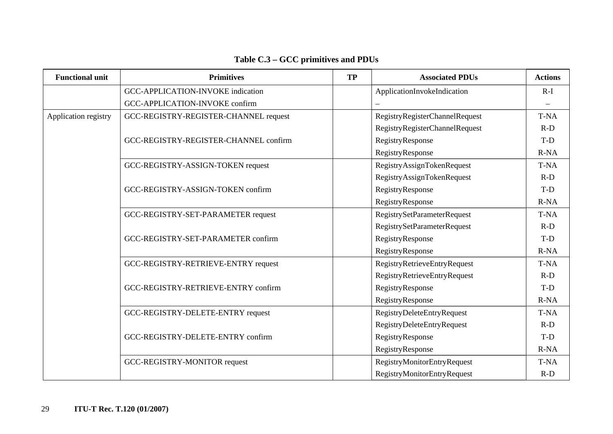| <b>Functional unit</b> | <b>Primitives</b>                     | <b>TP</b> | <b>Associated PDUs</b>              | <b>Actions</b> |
|------------------------|---------------------------------------|-----------|-------------------------------------|----------------|
|                        | GCC-APPLICATION-INVOKE indication     |           | ApplicationInvokeIndication         | $R-I$          |
|                        | GCC-APPLICATION-INVOKE confirm        |           |                                     |                |
| Application registry   | GCC-REGISTRY-REGISTER-CHANNEL request |           | RegistryRegisterChannelRequest      | T-NA           |
|                        |                                       |           | RegistryRegisterChannelRequest      | $R-D$          |
|                        | GCC-REGISTRY-REGISTER-CHANNEL confirm |           | RegistryResponse                    | T-D            |
|                        |                                       |           | RegistryResponse                    | $R-NA$         |
|                        | GCC-REGISTRY-ASSIGN-TOKEN request     |           | RegistryAssignTokenRequest          | T-NA           |
|                        |                                       |           | RegistryAssignTokenRequest          | $R-D$          |
|                        | GCC-REGISTRY-ASSIGN-TOKEN confirm     |           | RegistryResponse                    | $T-D$          |
|                        |                                       |           | RegistryResponse                    | R-NA           |
|                        | GCC-REGISTRY-SET-PARAMETER request    |           | RegistrySetParameterRequest         | T-NA           |
|                        |                                       |           | RegistrySetParameterRequest         | $R-D$          |
|                        | GCC-REGISTRY-SET-PARAMETER confirm    |           | RegistryResponse                    | $T-D$          |
|                        |                                       |           | RegistryResponse                    | $R-NA$         |
|                        | GCC-REGISTRY-RETRIEVE-ENTRY request   |           | <b>RegistryRetrieveEntryRequest</b> | T-NA           |
|                        |                                       |           | <b>RegistryRetrieveEntryRequest</b> | $R-D$          |
|                        | GCC-REGISTRY-RETRIEVE-ENTRY confirm   |           | RegistryResponse                    | T-D            |
|                        |                                       |           | RegistryResponse                    | $R-NA$         |
|                        | GCC-REGISTRY-DELETE-ENTRY request     |           | RegistryDeleteEntryRequest          | T-NA           |
|                        |                                       |           | RegistryDeleteEntryRequest          | $R-D$          |
|                        | GCC-REGISTRY-DELETE-ENTRY confirm     |           | RegistryResponse                    | $T-D$          |
|                        |                                       |           | RegistryResponse                    | $R-NA$         |
|                        | GCC-REGISTRY-MONITOR request          |           | <b>RegistryMonitorEntryRequest</b>  | T-NA           |
|                        |                                       |           | <b>RegistryMonitorEntryRequest</b>  | $R-D$          |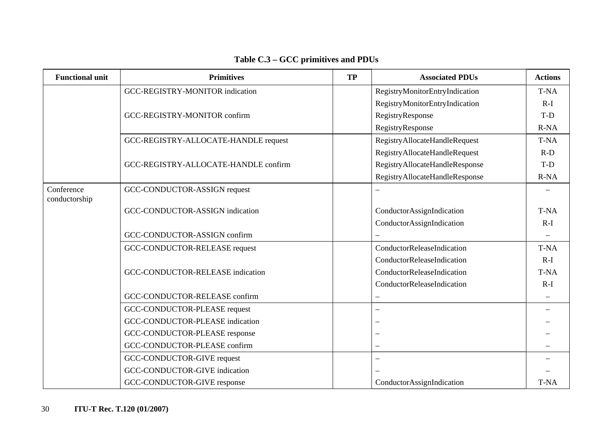| <b>Functional unit</b>      | <b>Primitives</b>                      |  | <b>Associated PDUs</b>               | <b>Actions</b> |
|-----------------------------|----------------------------------------|--|--------------------------------------|----------------|
|                             | GCC-REGISTRY-MONITOR indication        |  | RegistryMonitorEntryIndication       | T-NA           |
|                             |                                        |  | RegistryMonitorEntryIndication       | $R-I$          |
|                             | GCC-REGISTRY-MONITOR confirm           |  | RegistryResponse                     | T-D            |
|                             |                                        |  | RegistryResponse                     | $R-NA$         |
|                             | GCC-REGISTRY-ALLOCATE-HANDLE request   |  | <b>RegistryAllocateHandleRequest</b> | T-NA           |
|                             |                                        |  | <b>RegistryAllocateHandleRequest</b> | $R-D$          |
|                             | GCC-REGISTRY-ALLOCATE-HANDLE confirm   |  | RegistryAllocateHandleResponse       | T-D            |
|                             |                                        |  | RegistryAllocateHandleResponse       | $R-NA$         |
| Conference<br>conductorship | GCC-CONDUCTOR-ASSIGN request           |  |                                      |                |
|                             | GCC-CONDUCTOR-ASSIGN indication        |  | ConductorAssignIndication            | T-NA           |
|                             |                                        |  | ConductorAssignIndication            | $R-I$          |
|                             | GCC-CONDUCTOR-ASSIGN confirm           |  |                                      |                |
|                             | GCC-CONDUCTOR-RELEASE request          |  | ConductorReleaseIndication           | T-NA           |
|                             |                                        |  | ConductorReleaseIndication           | $R-I$          |
|                             | GCC-CONDUCTOR-RELEASE indication       |  | ConductorReleaseIndication           | T-NA           |
|                             |                                        |  | ConductorReleaseIndication           | $R-I$          |
|                             | GCC-CONDUCTOR-RELEASE confirm          |  |                                      |                |
|                             | <b>GCC-CONDUCTOR-PLEASE request</b>    |  |                                      |                |
|                             | <b>GCC-CONDUCTOR-PLEASE indication</b> |  |                                      |                |
|                             | GCC-CONDUCTOR-PLEASE response          |  |                                      |                |
|                             | GCC-CONDUCTOR-PLEASE confirm           |  |                                      |                |
|                             | GCC-CONDUCTOR-GIVE request             |  |                                      |                |
|                             | <b>GCC-CONDUCTOR-GIVE indication</b>   |  |                                      |                |
|                             | GCC-CONDUCTOR-GIVE response            |  | ConductorAssignIndication            | T-NA           |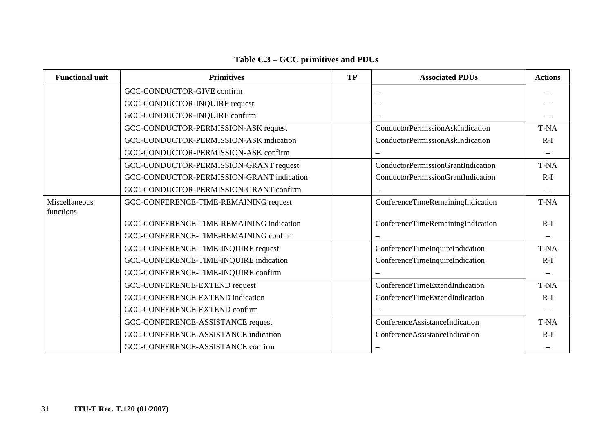| <b>Functional unit</b>     | <b>Primitives</b>                         |  | <b>Associated PDUs</b>                    | <b>Actions</b> |
|----------------------------|-------------------------------------------|--|-------------------------------------------|----------------|
|                            | GCC-CONDUCTOR-GIVE confirm                |  |                                           |                |
|                            | GCC-CONDUCTOR-INQUIRE request             |  |                                           |                |
|                            | GCC-CONDUCTOR-INQUIRE confirm             |  |                                           |                |
|                            | GCC-CONDUCTOR-PERMISSION-ASK request      |  | ConductorPermissionAskIndication          | T-NA           |
|                            | GCC-CONDUCTOR-PERMISSION-ASK indication   |  | ConductorPermissionAskIndication          | $R-I$          |
|                            | GCC-CONDUCTOR-PERMISSION-ASK confirm      |  |                                           |                |
|                            | GCC-CONDUCTOR-PERMISSION-GRANT request    |  | <b>ConductorPermissionGrantIndication</b> | T-NA           |
|                            | GCC-CONDUCTOR-PERMISSION-GRANT indication |  | ConductorPermissionGrantIndication        | $R-I$          |
|                            | GCC-CONDUCTOR-PERMISSION-GRANT confirm    |  |                                           |                |
| Miscellaneous<br>functions | GCC-CONFERENCE-TIME-REMAINING request     |  | ConferenceTimeRemainingIndication         | T-NA           |
|                            | GCC-CONFERENCE-TIME-REMAINING indication  |  | ConferenceTimeRemainingIndication         | $R-I$          |
|                            | GCC-CONFERENCE-TIME-REMAINING confirm     |  |                                           |                |
|                            | GCC-CONFERENCE-TIME-INQUIRE request       |  | ConferenceTimeInquireIndication           | T-NA           |
|                            | GCC-CONFERENCE-TIME-INQUIRE indication    |  | ConferenceTimeInquireIndication           | $R-I$          |
|                            | GCC-CONFERENCE-TIME-INQUIRE confirm       |  |                                           |                |
|                            | GCC-CONFERENCE-EXTEND request             |  | ConferenceTimeExtendIndication            | T-NA           |
|                            | GCC-CONFERENCE-EXTEND indication          |  | ConferenceTimeExtendIndication            | $R-I$          |
|                            | GCC-CONFERENCE-EXTEND confirm             |  |                                           |                |
|                            | GCC-CONFERENCE-ASSISTANCE request         |  | ConferenceAssistanceIndication            | T-NA           |
|                            | GCC-CONFERENCE-ASSISTANCE indication      |  | ConferenceAssistanceIndication            | $R-I$          |
|                            | GCC-CONFERENCE-ASSISTANCE confirm         |  |                                           |                |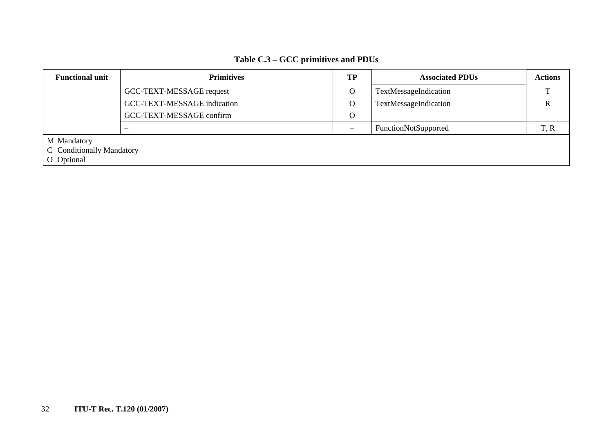**Table C.3 – GCC primitives and PDUs** 

| <b>Functional unit</b>                                 | <b>Primitives</b>           |          | <b>Associated PDUs</b> | <b>Actions</b> |
|--------------------------------------------------------|-----------------------------|----------|------------------------|----------------|
|                                                        | GCC-TEXT-MESSAGE request    |          | TextMessageIndication  |                |
|                                                        | GCC-TEXT-MESSAGE indication | $\Omega$ | TextMessageIndication  | R              |
|                                                        | GCC-TEXT-MESSAGE confirm    | $\Omega$ |                        |                |
|                                                        |                             |          | FunctionNotSupported   | T, R           |
| M Mandatory<br>C Conditionally Mandatory<br>O Optional |                             |          |                        |                |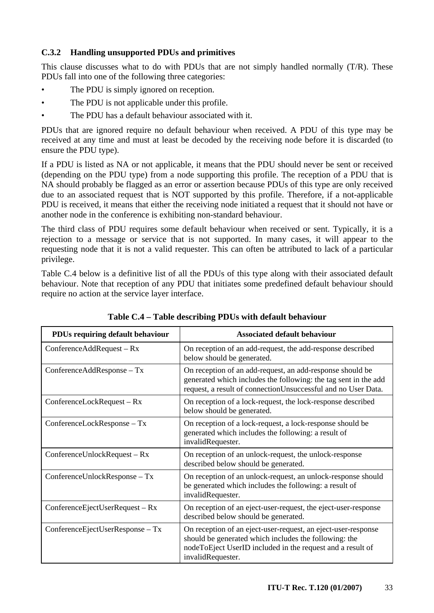### **C.3.2 Handling unsupported PDUs and primitives**

This clause discusses what to do with PDUs that are not simply handled normally (T/R). These PDUs fall into one of the following three categories:

- The PDU is simply ignored on reception.
- The PDU is not applicable under this profile.
- The PDU has a default behaviour associated with it.

PDUs that are ignored require no default behaviour when received. A PDU of this type may be received at any time and must at least be decoded by the receiving node before it is discarded (to ensure the PDU type).

If a PDU is listed as NA or not applicable, it means that the PDU should never be sent or received (depending on the PDU type) from a node supporting this profile. The reception of a PDU that is NA should probably be flagged as an error or assertion because PDUs of this type are only received due to an associated request that is NOT supported by this profile. Therefore, if a not-applicable PDU is received, it means that either the receiving node initiated a request that it should not have or another node in the conference is exhibiting non-standard behaviour.

The third class of PDU requires some default behaviour when received or sent. Typically, it is a rejection to a message or service that is not supported. In many cases, it will appear to the requesting node that it is not a valid requester. This can often be attributed to lack of a particular privilege.

Table C.4 below is a definitive list of all the PDUs of this type along with their associated default behaviour. Note that reception of any PDU that initiates some predefined default behaviour should require no action at the service layer interface.

| PDUs requiring default behaviour   | <b>Associated default behaviour</b>                                                                                                                                                                       |
|------------------------------------|-----------------------------------------------------------------------------------------------------------------------------------------------------------------------------------------------------------|
| Conference $AddRequest - Rx$       | On reception of an add-request, the add-response described<br>below should be generated.                                                                                                                  |
| ConferenceAddResponse - Tx         | On reception of an add-request, an add-response should be<br>generated which includes the following: the tag sent in the add<br>request, a result of connectionUnsuccessful and no User Data.             |
| $ConferenceLockRequest - Rx$       | On reception of a lock-request, the lock-response described<br>below should be generated.                                                                                                                 |
| ConferenceLockResponse – Tx        | On reception of a lock-request, a lock-response should be<br>generated which includes the following: a result of<br>invalidRequester.                                                                     |
| $ConferenceUnlockRequest - Rx$     | On reception of an unlock-request, the unlock-response<br>described below should be generated.                                                                                                            |
| $ConferenceUnlockResponse - Tx$    | On reception of an unlock-request, an unlock-response should<br>be generated which includes the following: a result of<br>invalidRequester.                                                               |
| $ConferenceEjectUserRequest - Rx$  | On reception of an eject-user-request, the eject-user-response<br>described below should be generated.                                                                                                    |
| $ConferenceEjectUserResponse - Tx$ | On reception of an eject-user-request, an eject-user-response<br>should be generated which includes the following: the<br>nodeToEject UserID included in the request and a result of<br>invalidRequester. |

### **Table C.4 – Table describing PDUs with default behaviour**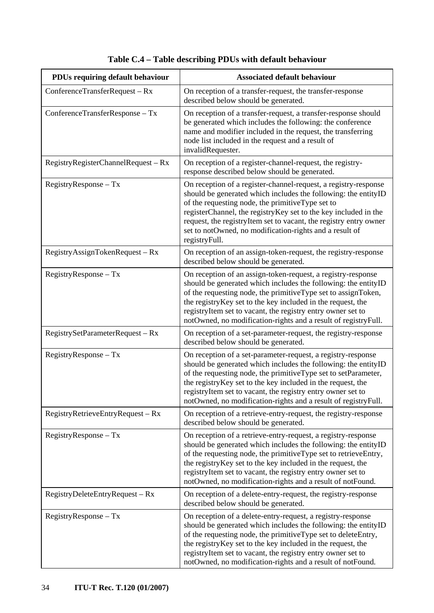| PDUs requiring default behaviour    | <b>Associated default behaviour</b>                                                                                                                                                                                                                                                                                                                                                                       |
|-------------------------------------|-----------------------------------------------------------------------------------------------------------------------------------------------------------------------------------------------------------------------------------------------------------------------------------------------------------------------------------------------------------------------------------------------------------|
| ConferenceTransferRequest - Rx      | On reception of a transfer-request, the transfer-response<br>described below should be generated.                                                                                                                                                                                                                                                                                                         |
| ConferenceTransferResponse - Tx     | On reception of a transfer-request, a transfer-response should<br>be generated which includes the following: the conference<br>name and modifier included in the request, the transferring<br>node list included in the request and a result of<br>invalidRequester.                                                                                                                                      |
| RegistryRegisterChannelRequest - Rx | On reception of a register-channel-request, the registry-<br>response described below should be generated.                                                                                                                                                                                                                                                                                                |
| RegistryResponse – Tx               | On reception of a register-channel-request, a registry-response<br>should be generated which includes the following: the entityID<br>of the requesting node, the primitiveType set to<br>registerChannel, the registryKey set to the key included in the<br>request, the registryItem set to vacant, the registry entry owner<br>set to notOwned, no modification-rights and a result of<br>registryFull. |
| RegistryAssignTokenRequest – Rx     | On reception of an assign-token-request, the registry-response<br>described below should be generated.                                                                                                                                                                                                                                                                                                    |
| $RegistryResponse - Tx$             | On reception of an assign-token-request, a registry-response<br>should be generated which includes the following: the entityID<br>of the requesting node, the primitiveType set to assignToken,<br>the registryKey set to the key included in the request, the<br>registryItem set to vacant, the registry entry owner set to<br>notOwned, no modification-rights and a result of registryFull.           |
| RegistrySetParameterRequest - Rx    | On reception of a set-parameter-request, the registry-response<br>described below should be generated.                                                                                                                                                                                                                                                                                                    |
| RegistryResponse - Tx               | On reception of a set-parameter-request, a registry-response<br>should be generated which includes the following: the entityID<br>of the requesting node, the primitiveType set to setParameter,<br>the registryKey set to the key included in the request, the<br>registryItem set to vacant, the registry entry owner set to<br>notOwned, no modification-rights and a result of registryFull.          |
| RegistryRetrieveEntryRequest – Rx   | On reception of a retrieve-entry-request, the registry-response<br>described below should be generated.                                                                                                                                                                                                                                                                                                   |
| $RegistryResponse - Tx$             | On reception of a retrieve-entry-request, a registry-response<br>should be generated which includes the following: the entityID<br>of the requesting node, the primitiveType set to retrieveEntry,<br>the registryKey set to the key included in the request, the<br>registryItem set to vacant, the registry entry owner set to<br>notOwned, no modification-rights and a result of notFound.            |
| RegistryDeleteEntryRequest – Rx     | On reception of a delete-entry-request, the registry-response<br>described below should be generated.                                                                                                                                                                                                                                                                                                     |
| $RegistryResponse - Tx$             | On reception of a delete-entry-request, a registry-response<br>should be generated which includes the following: the entityID<br>of the requesting node, the primitiveType set to deleteEntry,<br>the registryKey set to the key included in the request, the<br>registryItem set to vacant, the registry entry owner set to<br>notOwned, no modification-rights and a result of notFound.                |

| Table C.4 – Table describing PDUs with default behaviour |  |  |
|----------------------------------------------------------|--|--|
|----------------------------------------------------------|--|--|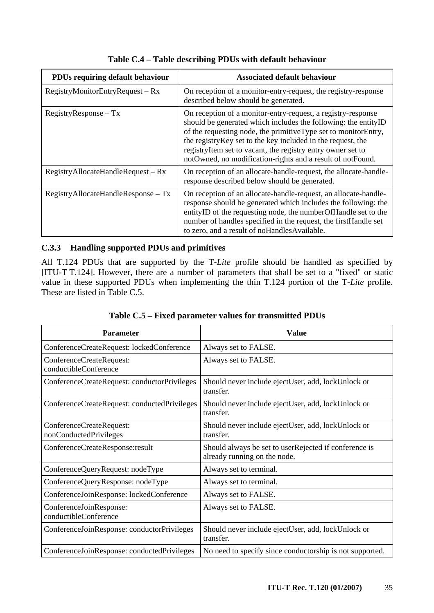| PDUs requiring default behaviour     | <b>Associated default behaviour</b>                                                                                                                                                                                                                                                                                                                                                            |
|--------------------------------------|------------------------------------------------------------------------------------------------------------------------------------------------------------------------------------------------------------------------------------------------------------------------------------------------------------------------------------------------------------------------------------------------|
| RegistryMonitorEntryRequest – Rx     | On reception of a monitor-entry-request, the registry-response<br>described below should be generated.                                                                                                                                                                                                                                                                                         |
| $RegistryResponse - Tx$              | On reception of a monitor-entry-request, a registry-response<br>should be generated which includes the following: the entityID<br>of the requesting node, the primitive Type set to monitor Entry,<br>the registryKey set to the key included in the request, the<br>registryItem set to vacant, the registry entry owner set to<br>notOwned, no modification-rights and a result of notFound. |
| $RegistryAllocateHandleRequest - Rx$ | On reception of an allocate-handle-request, the allocate-handle-<br>response described below should be generated.                                                                                                                                                                                                                                                                              |
| RegistryAllocateHandleResponse – Tx  | On reception of an allocate-handle-request, an allocate-handle-<br>response should be generated which includes the following: the<br>entityID of the requesting node, the numberOfHandle set to the<br>number of handles specified in the request, the firstHandle set<br>to zero, and a result of noHandlesAvailable.                                                                         |

**Table C.4 – Table describing PDUs with default behaviour** 

### **C.3.3 Handling supported PDUs and primitives**

All T.124 PDUs that are supported by the T-*Lite* profile should be handled as specified by [ITU-T T.124]. However, there are a number of parameters that shall be set to a "fixed" or static value in these supported PDUs when implementing the thin T.124 portion of the T-*Lite* profile. These are listed in Table C.5.

| <b>Parameter</b>                                   | <b>Value</b>                                                                           |
|----------------------------------------------------|----------------------------------------------------------------------------------------|
| ConferenceCreateRequest: lockedConference          | Always set to FALSE.                                                                   |
| ConferenceCreateRequest:<br>conductibleConference  | Always set to FALSE.                                                                   |
| ConferenceCreateRequest: conductorPrivileges       | Should never include ejectUser, add, lockUnlock or<br>transfer.                        |
| ConferenceCreateRequest: conductedPrivileges       | Should never include ejectUser, add, lockUnlock or<br>transfer.                        |
| ConferenceCreateRequest:<br>nonConductedPrivileges | Should never include ejectUser, add, lockUnlock or<br>transfer.                        |
| ConferenceCreateResponse:result                    | Should always be set to user Rejected if conference is<br>already running on the node. |
| ConferenceQueryRequest: nodeType                   | Always set to terminal.                                                                |
| ConferenceQueryResponse: nodeType                  | Always set to terminal.                                                                |
| ConferenceJoinResponse: lockedConference           | Always set to FALSE.                                                                   |
| ConferenceJoinResponse:<br>conductibleConference   | Always set to FALSE.                                                                   |
| ConferenceJoinResponse: conductorPrivileges        | Should never include ejectUser, add, lockUnlock or<br>transfer.                        |
| ConferenceJoinResponse: conductedPrivileges        | No need to specify since conductorship is not supported.                               |

**Table C.5 – Fixed parameter values for transmitted PDUs**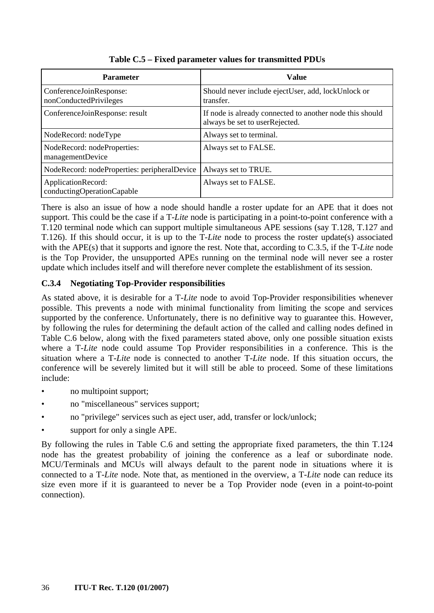| <b>Parameter</b>                                  | <b>Value</b>                                                                               |
|---------------------------------------------------|--------------------------------------------------------------------------------------------|
| ConferenceJoinResponse:<br>nonConductedPrivileges | Should never include eject User, add, lock Unlock or<br>transfer.                          |
| ConferenceJoinResponse: result                    | If node is already connected to another node this should<br>always be set to userRejected. |
| NodeRecord: nodeType                              | Always set to terminal.                                                                    |
| NodeRecord: nodeProperties:<br>managementDevice   | Always set to FALSE.                                                                       |
| NodeRecord: nodeProperties: peripheralDevice      | Always set to TRUE.                                                                        |
| ApplicationRecord:<br>conductingOperationCapable  | Always set to FALSE.                                                                       |

**Table C.5 – Fixed parameter values for transmitted PDUs** 

There is also an issue of how a node should handle a roster update for an APE that it does not support. This could be the case if a T-*Lite* node is participating in a point-to-point conference with a T.120 terminal node which can support multiple simultaneous APE sessions (say T.128, T.127 and T.126). If this should occur, it is up to the T-*Lite* node to process the roster update(s) associated with the APE(s) that it supports and ignore the rest. Note that, according to C.3.5, if the T-*Lite* node is the Top Provider, the unsupported APEs running on the terminal node will never see a roster update which includes itself and will therefore never complete the establishment of its session.

### **C.3.4 Negotiating Top-Provider responsibilities**

As stated above, it is desirable for a T-*Lite* node to avoid Top-Provider responsibilities whenever possible. This prevents a node with minimal functionality from limiting the scope and services supported by the conference. Unfortunately, there is no definitive way to guarantee this. However, by following the rules for determining the default action of the called and calling nodes defined in Table C.6 below, along with the fixed parameters stated above, only one possible situation exists where a T-*Lite* node could assume Top Provider responsibilities in a conference. This is the situation where a T-*Lite* node is connected to another T-*Lite* node. If this situation occurs, the conference will be severely limited but it will still be able to proceed. Some of these limitations include:

- no multipoint support;
- no "miscellaneous" services support;
- no "privilege" services such as eject user, add, transfer or lock/unlock;
- support for only a single APE.

By following the rules in Table C.6 and setting the appropriate fixed parameters, the thin T.124 node has the greatest probability of joining the conference as a leaf or subordinate node. MCU/Terminals and MCUs will always default to the parent node in situations where it is connected to a T-*Lite* node. Note that, as mentioned in the overview, a T-*Lite* node can reduce its size even more if it is guaranteed to never be a Top Provider node (even in a point-to-point connection).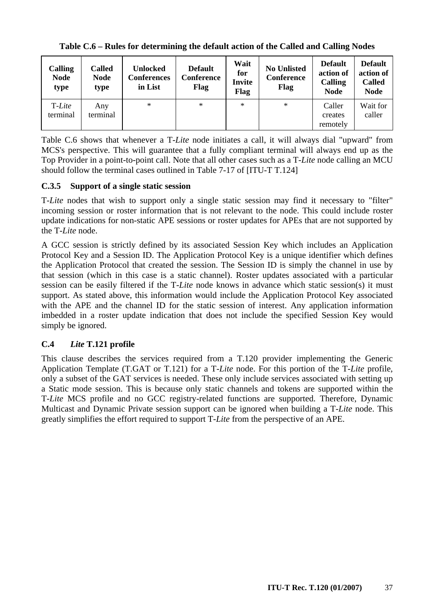|  | Table C.6 - Rules for determining the default action of the Called and Calling Nodes |  |  |  |
|--|--------------------------------------------------------------------------------------|--|--|--|
|--|--------------------------------------------------------------------------------------|--|--|--|

| Calling<br><b>Node</b><br>type | <b>Called</b><br><b>Node</b><br>type | <b>Unlocked</b><br>Conferences<br>in List | <b>Default</b><br><b>Conference</b><br>Flag | Wait<br>for<br>Invite<br>Flag | <b>No Unlisted</b><br><b>Conference</b><br>Flag | <b>Default</b><br>action of<br>Calling<br><b>Node</b> | <b>Default</b><br>action of<br><b>Called</b><br><b>Node</b> |
|--------------------------------|--------------------------------------|-------------------------------------------|---------------------------------------------|-------------------------------|-------------------------------------------------|-------------------------------------------------------|-------------------------------------------------------------|
| T-Lite<br>terminal             | Any<br>terminal                      | $\ast$                                    | $\ast$                                      | $\ast$                        | $\ast$                                          | Caller<br>creates<br>remotely                         | Wait for<br>caller                                          |

Table C.6 shows that whenever a T-*Lite* node initiates a call, it will always dial "upward" from MCS's perspective. This will guarantee that a fully compliant terminal will always end up as the Top Provider in a point-to-point call. Note that all other cases such as a T-*Lite* node calling an MCU should follow the terminal cases outlined in Table 7-17 of [ITU-T T.124]

### **C.3.5 Support of a single static session**

T-*Lite* nodes that wish to support only a single static session may find it necessary to "filter" incoming session or roster information that is not relevant to the node. This could include roster update indications for non-static APE sessions or roster updates for APEs that are not supported by the T-*Lite* node.

A GCC session is strictly defined by its associated Session Key which includes an Application Protocol Key and a Session ID. The Application Protocol Key is a unique identifier which defines the Application Protocol that created the session. The Session ID is simply the channel in use by that session (which in this case is a static channel). Roster updates associated with a particular session can be easily filtered if the T-*Lite* node knows in advance which static session(s) it must support. As stated above, this information would include the Application Protocol Key associated with the APE and the channel ID for the static session of interest. Any application information imbedded in a roster update indication that does not include the specified Session Key would simply be ignored.

### **C.4** *Lite* **T.121 profile**

This clause describes the services required from a T.120 provider implementing the Generic Application Template (T.GAT or T.121) for a T-*Lite* node. For this portion of the T-*Lite* profile, only a subset of the GAT services is needed. These only include services associated with setting up a Static mode session. This is because only static channels and tokens are supported within the T-*Lite* MCS profile and no GCC registry-related functions are supported. Therefore, Dynamic Multicast and Dynamic Private session support can be ignored when building a T-*Lite* node. This greatly simplifies the effort required to support T-*Lite* from the perspective of an APE.